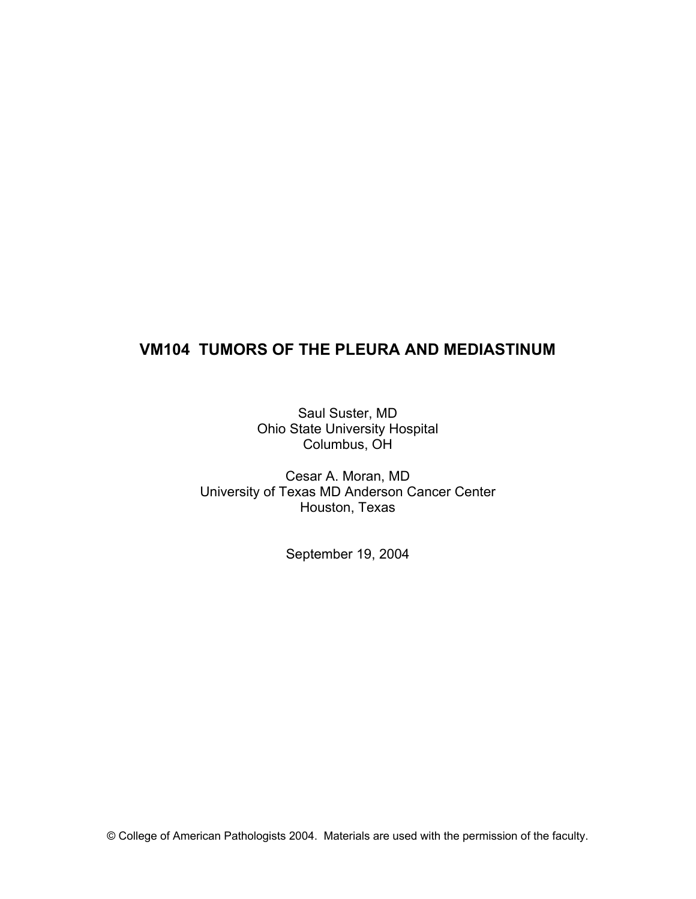# **VM104 TUMORS OF THE PLEURA AND MEDIASTINUM**

Saul Suster, MD Ohio State University Hospital Columbus, OH

Cesar A. Moran, MD University of Texas MD Anderson Cancer Center Houston, Texas

September 19, 2004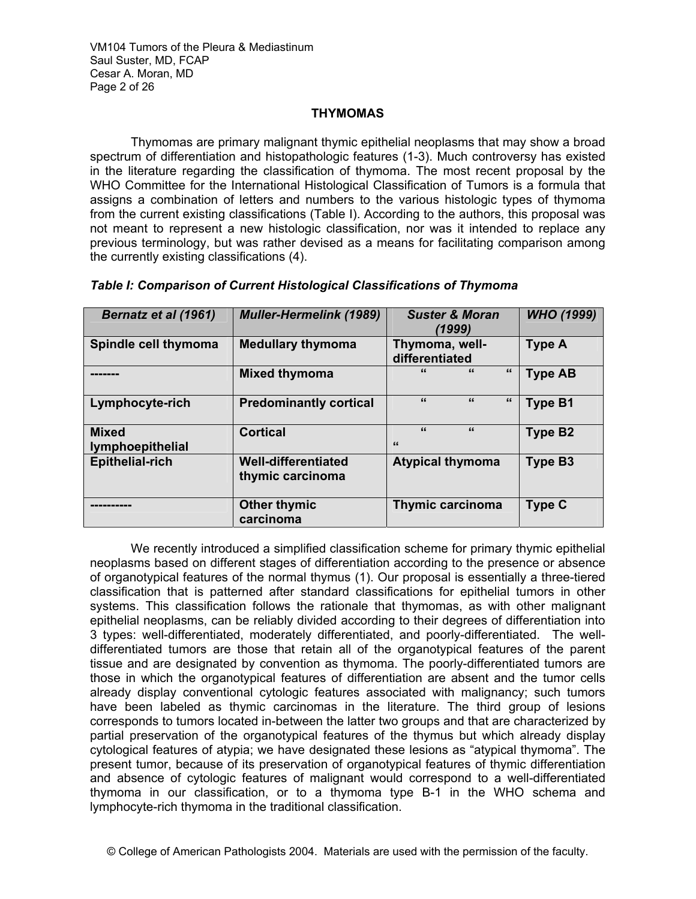VM104 Tumors of the Pleura & Mediastinum Saul Suster, MD, FCAP Cesar A. Moran, MD Page 2 of 26

# **THYMOMAS**

Thymomas are primary malignant thymic epithelial neoplasms that may show a broad spectrum of differentiation and histopathologic features (1-3). Much controversy has existed in the literature regarding the classification of thymoma. The most recent proposal by the WHO Committee for the International Histological Classification of Tumors is a formula that assigns a combination of letters and numbers to the various histologic types of thymoma from the current existing classifications (Table I). According to the authors, this proposal was not meant to represent a new histologic classification, nor was it intended to replace any previous terminology, but was rather devised as a means for facilitating comparison among the currently existing classifications (4).

| <b>Bernatz et al (1961)</b>             | <b>Muller-Hermelink (1989)</b>                 | <b>Suster &amp; Moran</b><br>(1999)    | <b>WHO (1999)</b> |
|-----------------------------------------|------------------------------------------------|----------------------------------------|-------------------|
| Spindle cell thymoma                    | <b>Medullary thymoma</b>                       | Thymoma, well-<br>differentiated       | <b>Type A</b>     |
|                                         | <b>Mixed thymoma</b>                           | $\epsilon$<br>$\epsilon$<br>"          | <b>Type AB</b>    |
| Lymphocyte-rich                         | <b>Predominantly cortical</b>                  | $\epsilon$<br>$\epsilon$<br>"          | Type B1           |
| <b>Mixed</b><br><b>lymphoepithelial</b> | <b>Cortical</b>                                | $\epsilon$<br>$\epsilon$<br>$\epsilon$ | <b>Type B2</b>    |
| <b>Epithelial-rich</b>                  | <b>Well-differentiated</b><br>thymic carcinoma | <b>Atypical thymoma</b>                | <b>Type B3</b>    |
|                                         | <b>Other thymic</b><br>carcinoma               | <b>Thymic carcinoma</b>                | <b>Type C</b>     |

*Table I: Comparison of Current Histological Classifications of Thymoma* 

 We recently introduced a simplified classification scheme for primary thymic epithelial neoplasms based on different stages of differentiation according to the presence or absence of organotypical features of the normal thymus (1). Our proposal is essentially a three-tiered classification that is patterned after standard classifications for epithelial tumors in other systems. This classification follows the rationale that thymomas, as with other malignant epithelial neoplasms, can be reliably divided according to their degrees of differentiation into 3 types: well-differentiated, moderately differentiated, and poorly-differentiated. The welldifferentiated tumors are those that retain all of the organotypical features of the parent tissue and are designated by convention as thymoma. The poorly-differentiated tumors are those in which the organotypical features of differentiation are absent and the tumor cells already display conventional cytologic features associated with malignancy; such tumors have been labeled as thymic carcinomas in the literature. The third group of lesions corresponds to tumors located in-between the latter two groups and that are characterized by partial preservation of the organotypical features of the thymus but which already display cytological features of atypia; we have designated these lesions as "atypical thymoma". The present tumor, because of its preservation of organotypical features of thymic differentiation and absence of cytologic features of malignant would correspond to a well-differentiated thymoma in our classification, or to a thymoma type B-1 in the WHO schema and lymphocyte-rich thymoma in the traditional classification.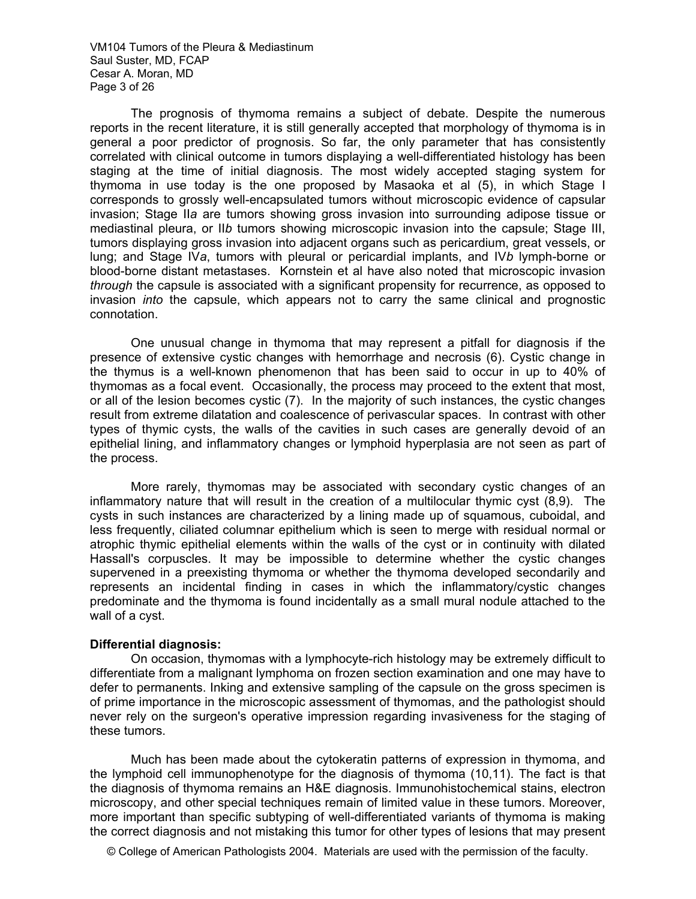VM104 Tumors of the Pleura & Mediastinum Saul Suster, MD, FCAP Cesar A. Moran, MD Page 3 of 26

 The prognosis of thymoma remains a subject of debate. Despite the numerous reports in the recent literature, it is still generally accepted that morphology of thymoma is in general a poor predictor of prognosis. So far, the only parameter that has consistently correlated with clinical outcome in tumors displaying a well-differentiated histology has been staging at the time of initial diagnosis. The most widely accepted staging system for thymoma in use today is the one proposed by Masaoka et al (5), in which Stage I corresponds to grossly well-encapsulated tumors without microscopic evidence of capsular invasion; Stage II*a* are tumors showing gross invasion into surrounding adipose tissue or mediastinal pleura, or II*b* tumors showing microscopic invasion into the capsule; Stage III, tumors displaying gross invasion into adjacent organs such as pericardium, great vessels, or lung; and Stage IV*a*, tumors with pleural or pericardial implants, and IV*b* lymph-borne or blood-borne distant metastases. Kornstein et al have also noted that microscopic invasion *through* the capsule is associated with a significant propensity for recurrence, as opposed to invasion *into* the capsule, which appears not to carry the same clinical and prognostic connotation.

One unusual change in thymoma that may represent a pitfall for diagnosis if the presence of extensive cystic changes with hemorrhage and necrosis (6). Cystic change in the thymus is a well-known phenomenon that has been said to occur in up to 40% of thymomas as a focal event. Occasionally, the process may proceed to the extent that most, or all of the lesion becomes cystic (7). In the majority of such instances, the cystic changes result from extreme dilatation and coalescence of perivascular spaces. In contrast with other types of thymic cysts, the walls of the cavities in such cases are generally devoid of an epithelial lining, and inflammatory changes or lymphoid hyperplasia are not seen as part of the process.

More rarely, thymomas may be associated with secondary cystic changes of an inflammatory nature that will result in the creation of a multilocular thymic cyst (8,9). The cysts in such instances are characterized by a lining made up of squamous, cuboidal, and less frequently, ciliated columnar epithelium which is seen to merge with residual normal or atrophic thymic epithelial elements within the walls of the cyst or in continuity with dilated Hassall's corpuscles. It may be impossible to determine whether the cystic changes supervened in a preexisting thymoma or whether the thymoma developed secondarily and represents an incidental finding in cases in which the inflammatory/cystic changes predominate and the thymoma is found incidentally as a small mural nodule attached to the wall of a cyst.

#### **Differential diagnosis:**

On occasion, thymomas with a lymphocyte-rich histology may be extremely difficult to differentiate from a malignant lymphoma on frozen section examination and one may have to defer to permanents. Inking and extensive sampling of the capsule on the gross specimen is of prime importance in the microscopic assessment of thymomas, and the pathologist should never rely on the surgeon's operative impression regarding invasiveness for the staging of these tumors.

 Much has been made about the cytokeratin patterns of expression in thymoma, and the lymphoid cell immunophenotype for the diagnosis of thymoma (10,11). The fact is that the diagnosis of thymoma remains an H&E diagnosis. Immunohistochemical stains, electron microscopy, and other special techniques remain of limited value in these tumors. Moreover, more important than specific subtyping of well-differentiated variants of thymoma is making the correct diagnosis and not mistaking this tumor for other types of lesions that may present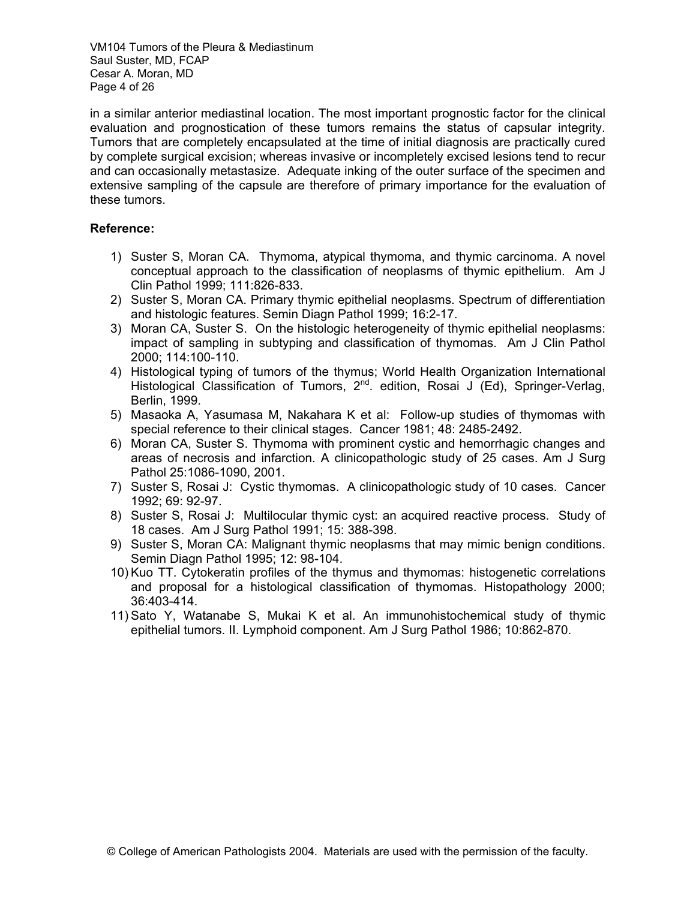VM104 Tumors of the Pleura & Mediastinum Saul Suster, MD, FCAP Cesar A. Moran, MD Page 4 of 26

in a similar anterior mediastinal location. The most important prognostic factor for the clinical evaluation and prognostication of these tumors remains the status of capsular integrity. Tumors that are completely encapsulated at the time of initial diagnosis are practically cured by complete surgical excision; whereas invasive or incompletely excised lesions tend to recur and can occasionally metastasize. Adequate inking of the outer surface of the specimen and extensive sampling of the capsule are therefore of primary importance for the evaluation of these tumors.

# **Reference:**

- 1) Suster S, Moran CA. Thymoma, atypical thymoma, and thymic carcinoma. A novel conceptual approach to the classification of neoplasms of thymic epithelium. Am J Clin Pathol 1999; 111:826-833.
- 2) Suster S, Moran CA. Primary thymic epithelial neoplasms. Spectrum of differentiation and histologic features. Semin Diagn Pathol 1999; 16:2-17.
- 3) Moran CA, Suster S. On the histologic heterogeneity of thymic epithelial neoplasms: impact of sampling in subtyping and classification of thymomas. Am J Clin Pathol 2000; 114:100-110.
- 4) Histological typing of tumors of the thymus; World Health Organization International Histological Classification of Tumors,  $2^{nd}$ . edition, Rosai J (Ed), Springer-Verlag, Berlin, 1999.
- 5) Masaoka A, Yasumasa M, Nakahara K et al: Follow-up studies of thymomas with special reference to their clinical stages. Cancer 1981; 48: 2485-2492.
- 6) Moran CA, Suster S. Thymoma with prominent cystic and hemorrhagic changes and areas of necrosis and infarction. A clinicopathologic study of 25 cases. Am J Surg Pathol 25:1086-1090, 2001.
- 7) Suster S, Rosai J: Cystic thymomas. A clinicopathologic study of 10 cases. Cancer 1992; 69: 92-97.
- 8) Suster S, Rosai J: Multilocular thymic cyst: an acquired reactive process. Study of 18 cases. Am J Surg Pathol 1991; 15: 388-398.
- 9) Suster S, Moran CA: Malignant thymic neoplasms that may mimic benign conditions. Semin Diagn Pathol 1995; 12: 98-104.
- 10) Kuo TT. Cytokeratin profiles of the thymus and thymomas: histogenetic correlations and proposal for a histological classification of thymomas. Histopathology 2000; 36:403-414.
- 11) Sato Y, Watanabe S, Mukai K et al. An immunohistochemical study of thymic epithelial tumors. II. Lymphoid component. Am J Surg Pathol 1986; 10:862-870.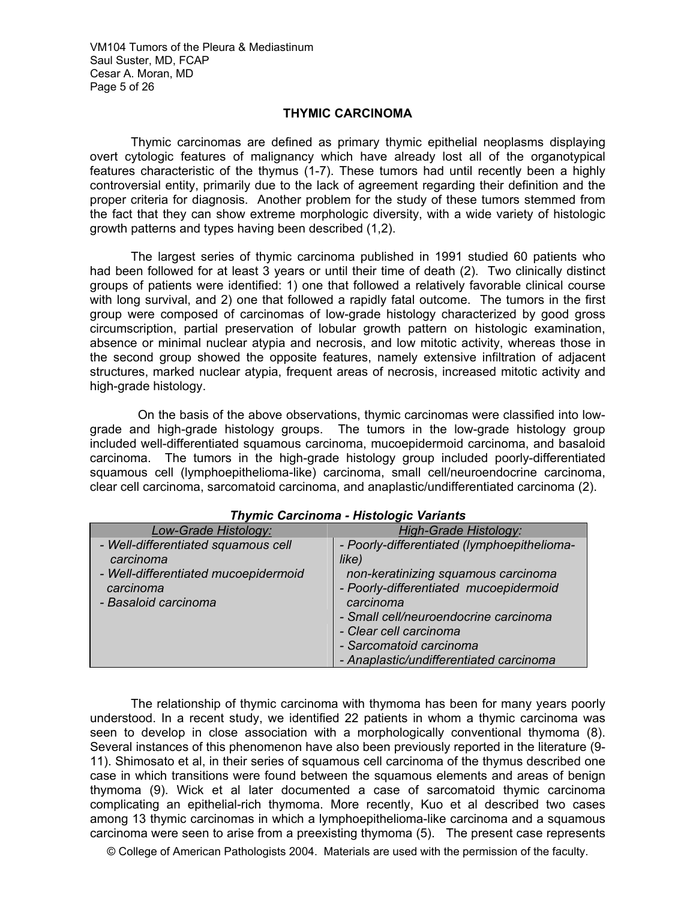VM104 Tumors of the Pleura & Mediastinum Saul Suster, MD, FCAP Cesar A. Moran, MD Page 5 of 26

### **THYMIC CARCINOMA**

 Thymic carcinomas are defined as primary thymic epithelial neoplasms displaying overt cytologic features of malignancy which have already lost all of the organotypical features characteristic of the thymus (1-7). These tumors had until recently been a highly controversial entity, primarily due to the lack of agreement regarding their definition and the proper criteria for diagnosis. Another problem for the study of these tumors stemmed from the fact that they can show extreme morphologic diversity, with a wide variety of histologic growth patterns and types having been described (1,2).

The largest series of thymic carcinoma published in 1991 studied 60 patients who had been followed for at least 3 years or until their time of death (2). Two clinically distinct groups of patients were identified: 1) one that followed a relatively favorable clinical course with long survival, and 2) one that followed a rapidly fatal outcome. The tumors in the first group were composed of carcinomas of low-grade histology characterized by good gross circumscription, partial preservation of lobular growth pattern on histologic examination, absence or minimal nuclear atypia and necrosis, and low mitotic activity, whereas those in the second group showed the opposite features, namely extensive infiltration of adjacent structures, marked nuclear atypia, frequent areas of necrosis, increased mitotic activity and high-grade histology.

 On the basis of the above observations, thymic carcinomas were classified into lowgrade and high-grade histology groups. The tumors in the low-grade histology group included well-differentiated squamous carcinoma, mucoepidermoid carcinoma, and basaloid carcinoma. The tumors in the high-grade histology group included poorly-differentiated squamous cell (lymphoepithelioma-like) carcinoma, small cell/neuroendocrine carcinoma, clear cell carcinoma, sarcomatoid carcinoma, and anaplastic/undifferentiated carcinoma (2).

| Low-Grade Histology:                                                                                                          | <b>High-Grade Histology:</b>                                                                                                                                                                                                                     |  |
|-------------------------------------------------------------------------------------------------------------------------------|--------------------------------------------------------------------------------------------------------------------------------------------------------------------------------------------------------------------------------------------------|--|
| - Well-differentiated squamous cell<br>carcinoma<br>- Well-differentiated mucoepidermoid<br>carcinoma<br>- Basaloid carcinoma | - Poorly-differentiated (lymphoepithelioma-<br>like)<br>non-keratinizing squamous carcinoma<br>- Poorly-differentiated mucoepidermoid<br>carcinoma<br>- Small cell/neuroendocrine carcinoma<br>- Clear cell carcinoma<br>- Sarcomatoid carcinoma |  |
|                                                                                                                               | - Anaplastic/undifferentiated carcinoma                                                                                                                                                                                                          |  |

### *Thymic Carcinoma - Histologic Variants*

 The relationship of thymic carcinoma with thymoma has been for many years poorly understood. In a recent study, we identified 22 patients in whom a thymic carcinoma was seen to develop in close association with a morphologically conventional thymoma (8). Several instances of this phenomenon have also been previously reported in the literature (9- 11). Shimosato et al, in their series of squamous cell carcinoma of the thymus described one case in which transitions were found between the squamous elements and areas of benign thymoma (9). Wick et al later documented a case of sarcomatoid thymic carcinoma complicating an epithelial-rich thymoma. More recently, Kuo et al described two cases among 13 thymic carcinomas in which a lymphoepithelioma-like carcinoma and a squamous carcinoma were seen to arise from a preexisting thymoma (5). The present case represents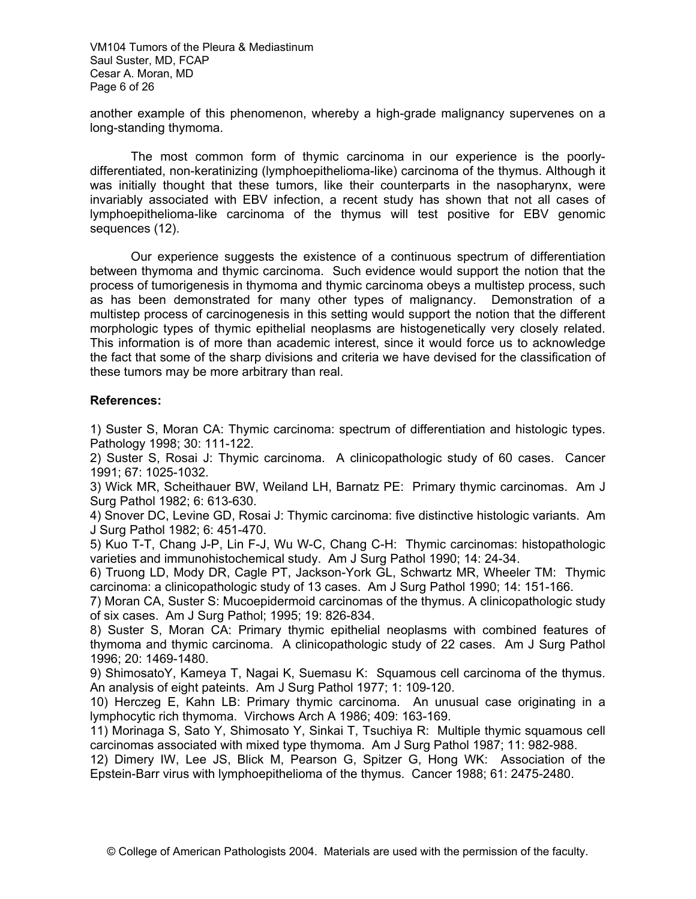VM104 Tumors of the Pleura & Mediastinum Saul Suster, MD, FCAP Cesar A. Moran, MD Page 6 of 26

another example of this phenomenon, whereby a high-grade malignancy supervenes on a long-standing thymoma.

 The most common form of thymic carcinoma in our experience is the poorlydifferentiated, non-keratinizing (lymphoepithelioma-like) carcinoma of the thymus. Although it was initially thought that these tumors, like their counterparts in the nasopharynx, were invariably associated with EBV infection, a recent study has shown that not all cases of lymphoepithelioma-like carcinoma of the thymus will test positive for EBV genomic sequences (12).

 Our experience suggests the existence of a continuous spectrum of differentiation between thymoma and thymic carcinoma. Such evidence would support the notion that the process of tumorigenesis in thymoma and thymic carcinoma obeys a multistep process, such as has been demonstrated for many other types of malignancy. Demonstration of a multistep process of carcinogenesis in this setting would support the notion that the different morphologic types of thymic epithelial neoplasms are histogenetically very closely related. This information is of more than academic interest, since it would force us to acknowledge the fact that some of the sharp divisions and criteria we have devised for the classification of these tumors may be more arbitrary than real.

### **References:**

1) Suster S, Moran CA: Thymic carcinoma: spectrum of differentiation and histologic types. Pathology 1998; 30: 111-122.

2) Suster S, Rosai J: Thymic carcinoma. A clinicopathologic study of 60 cases. Cancer 1991; 67: 1025-1032.

3) Wick MR, Scheithauer BW, Weiland LH, Barnatz PE: Primary thymic carcinomas. Am J Surg Pathol 1982; 6: 613-630.

4) Snover DC, Levine GD, Rosai J: Thymic carcinoma: five distinctive histologic variants. Am J Surg Pathol 1982; 6: 451-470.

5) Kuo T-T, Chang J-P, Lin F-J, Wu W-C, Chang C-H: Thymic carcinomas: histopathologic varieties and immunohistochemical study. Am J Surg Pathol 1990; 14: 24-34.

6) Truong LD, Mody DR, Cagle PT, Jackson-York GL, Schwartz MR, Wheeler TM: Thymic carcinoma: a clinicopathologic study of 13 cases. Am J Surg Pathol 1990; 14: 151-166.

7) Moran CA, Suster S: Mucoepidermoid carcinomas of the thymus. A clinicopathologic study of six cases. Am J Surg Pathol; 1995; 19: 826-834.

8) Suster S, Moran CA: Primary thymic epithelial neoplasms with combined features of thymoma and thymic carcinoma. A clinicopathologic study of 22 cases. Am J Surg Pathol 1996; 20: 1469-1480.

9) ShimosatoY, Kameya T, Nagai K, Suemasu K: Squamous cell carcinoma of the thymus. An analysis of eight pateints. Am J Surg Pathol 1977; 1: 109-120.

10) Herczeg E, Kahn LB: Primary thymic carcinoma. An unusual case originating in a lymphocytic rich thymoma. Virchows Arch A 1986; 409: 163-169.

11) Morinaga S, Sato Y, Shimosato Y, Sinkai T, Tsuchiya R: Multiple thymic squamous cell carcinomas associated with mixed type thymoma. Am J Surg Pathol 1987; 11: 982-988.

12) Dimery IW, Lee JS, Blick M, Pearson G, Spitzer G, Hong WK: Association of the Epstein-Barr virus with lymphoepithelioma of the thymus. Cancer 1988; 61: 2475-2480.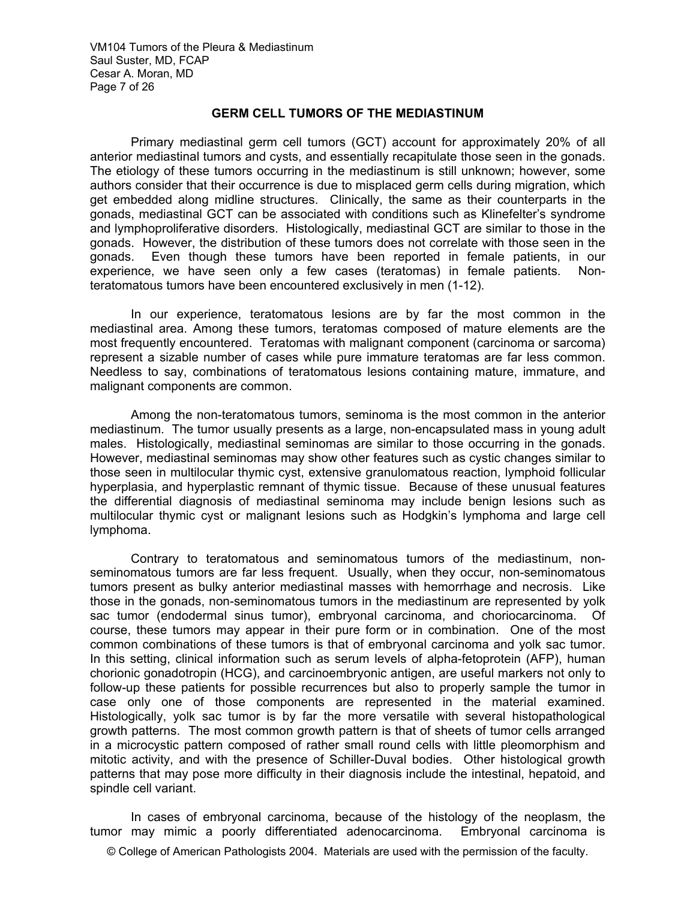VM104 Tumors of the Pleura & Mediastinum Saul Suster, MD, FCAP Cesar A. Moran, MD Page 7 of 26

# **GERM CELL TUMORS OF THE MEDIASTINUM**

 Primary mediastinal germ cell tumors (GCT) account for approximately 20% of all anterior mediastinal tumors and cysts, and essentially recapitulate those seen in the gonads. The etiology of these tumors occurring in the mediastinum is still unknown; however, some authors consider that their occurrence is due to misplaced germ cells during migration, which get embedded along midline structures. Clinically, the same as their counterparts in the gonads, mediastinal GCT can be associated with conditions such as Klinefelter's syndrome and lymphoproliferative disorders. Histologically, mediastinal GCT are similar to those in the gonads. However, the distribution of these tumors does not correlate with those seen in the gonads. Even though these tumors have been reported in female patients, in our experience, we have seen only a few cases (teratomas) in female patients. Nonteratomatous tumors have been encountered exclusively in men (1-12).

In our experience, teratomatous lesions are by far the most common in the mediastinal area. Among these tumors, teratomas composed of mature elements are the most frequently encountered. Teratomas with malignant component (carcinoma or sarcoma) represent a sizable number of cases while pure immature teratomas are far less common. Needless to say, combinations of teratomatous lesions containing mature, immature, and malignant components are common.

 Among the non-teratomatous tumors, seminoma is the most common in the anterior mediastinum. The tumor usually presents as a large, non-encapsulated mass in young adult males. Histologically, mediastinal seminomas are similar to those occurring in the gonads. However, mediastinal seminomas may show other features such as cystic changes similar to those seen in multilocular thymic cyst, extensive granulomatous reaction, lymphoid follicular hyperplasia, and hyperplastic remnant of thymic tissue. Because of these unusual features the differential diagnosis of mediastinal seminoma may include benign lesions such as multilocular thymic cyst or malignant lesions such as Hodgkin's lymphoma and large cell lymphoma.

 Contrary to teratomatous and seminomatous tumors of the mediastinum, nonseminomatous tumors are far less frequent. Usually, when they occur, non-seminomatous tumors present as bulky anterior mediastinal masses with hemorrhage and necrosis. Like those in the gonads, non-seminomatous tumors in the mediastinum are represented by yolk sac tumor (endodermal sinus tumor), embryonal carcinoma, and choriocarcinoma. Of course, these tumors may appear in their pure form or in combination. One of the most common combinations of these tumors is that of embryonal carcinoma and yolk sac tumor. In this setting, clinical information such as serum levels of alpha-fetoprotein (AFP), human chorionic gonadotropin (HCG), and carcinoembryonic antigen, are useful markers not only to follow-up these patients for possible recurrences but also to properly sample the tumor in case only one of those components are represented in the material examined. Histologically, yolk sac tumor is by far the more versatile with several histopathological growth patterns. The most common growth pattern is that of sheets of tumor cells arranged in a microcystic pattern composed of rather small round cells with little pleomorphism and mitotic activity, and with the presence of Schiller-Duval bodies. Other histological growth patterns that may pose more difficulty in their diagnosis include the intestinal, hepatoid, and spindle cell variant.

In cases of embryonal carcinoma, because of the histology of the neoplasm, the tumor may mimic a poorly differentiated adenocarcinoma. Embryonal carcinoma is

© College of American Pathologists 2004. Materials are used with the permission of the faculty.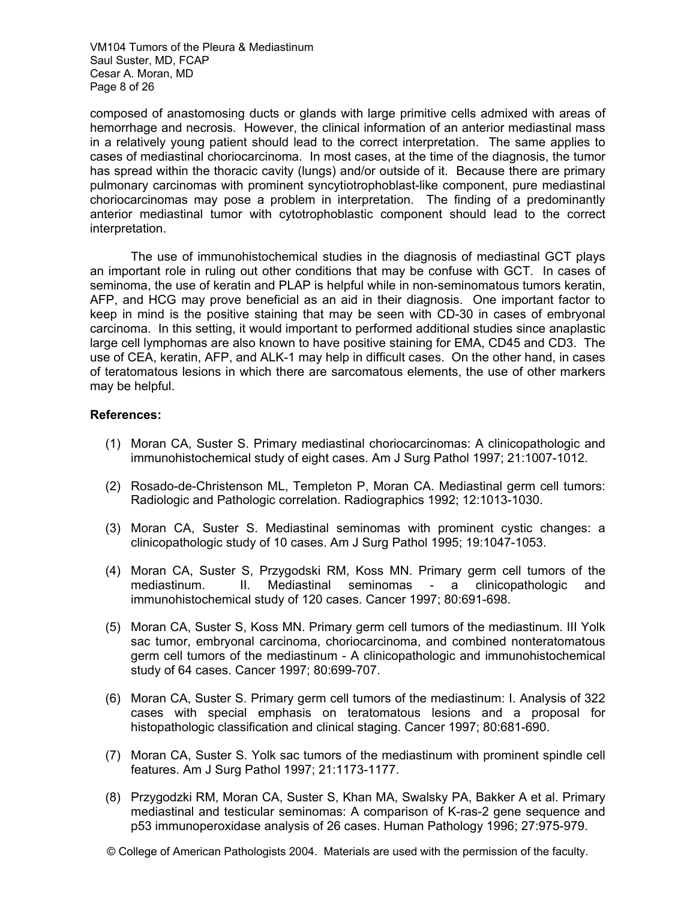VM104 Tumors of the Pleura & Mediastinum Saul Suster, MD, FCAP Cesar A. Moran, MD Page 8 of 26

composed of anastomosing ducts or glands with large primitive cells admixed with areas of hemorrhage and necrosis. However, the clinical information of an anterior mediastinal mass in a relatively young patient should lead to the correct interpretation. The same applies to cases of mediastinal choriocarcinoma. In most cases, at the time of the diagnosis, the tumor has spread within the thoracic cavity (lungs) and/or outside of it. Because there are primary pulmonary carcinomas with prominent syncytiotrophoblast-like component, pure mediastinal choriocarcinomas may pose a problem in interpretation. The finding of a predominantly anterior mediastinal tumor with cytotrophoblastic component should lead to the correct interpretation.

 The use of immunohistochemical studies in the diagnosis of mediastinal GCT plays an important role in ruling out other conditions that may be confuse with GCT. In cases of seminoma, the use of keratin and PLAP is helpful while in non-seminomatous tumors keratin, AFP, and HCG may prove beneficial as an aid in their diagnosis. One important factor to keep in mind is the positive staining that may be seen with CD-30 in cases of embryonal carcinoma. In this setting, it would important to performed additional studies since anaplastic large cell lymphomas are also known to have positive staining for EMA, CD45 and CD3. The use of CEA, keratin, AFP, and ALK-1 may help in difficult cases. On the other hand, in cases of teratomatous lesions in which there are sarcomatous elements, the use of other markers may be helpful.

### **References:**

- (1) Moran CA, Suster S. Primary mediastinal choriocarcinomas: A clinicopathologic and immunohistochemical study of eight cases. Am J Surg Pathol 1997; 21:1007-1012.
- (2) Rosado-de-Christenson ML, Templeton P, Moran CA. Mediastinal germ cell tumors: Radiologic and Pathologic correlation. Radiographics 1992; 12:1013-1030.
- (3) Moran CA, Suster S. Mediastinal seminomas with prominent cystic changes: a clinicopathologic study of 10 cases. Am J Surg Pathol 1995; 19:1047-1053.
- (4) Moran CA, Suster S, Przygodski RM, Koss MN. Primary germ cell tumors of the mediastinum. II. Mediastinal seminomas - a clinicopathologic and immunohistochemical study of 120 cases. Cancer 1997; 80:691-698.
- (5) Moran CA, Suster S, Koss MN. Primary germ cell tumors of the mediastinum. III Yolk sac tumor, embryonal carcinoma, choriocarcinoma, and combined nonteratomatous germ cell tumors of the mediastinum - A clinicopathologic and immunohistochemical study of 64 cases. Cancer 1997; 80:699-707.
- (6) Moran CA, Suster S. Primary germ cell tumors of the mediastinum: I. Analysis of 322 cases with special emphasis on teratomatous lesions and a proposal for histopathologic classification and clinical staging. Cancer 1997; 80:681-690.
- (7) Moran CA, Suster S. Yolk sac tumors of the mediastinum with prominent spindle cell features. Am J Surg Pathol 1997; 21:1173-1177.
- (8) Przygodzki RM, Moran CA, Suster S, Khan MA, Swalsky PA, Bakker A et al. Primary mediastinal and testicular seminomas: A comparison of K-ras-2 gene sequence and p53 immunoperoxidase analysis of 26 cases. Human Pathology 1996; 27:975-979.
- © College of American Pathologists 2004. Materials are used with the permission of the faculty.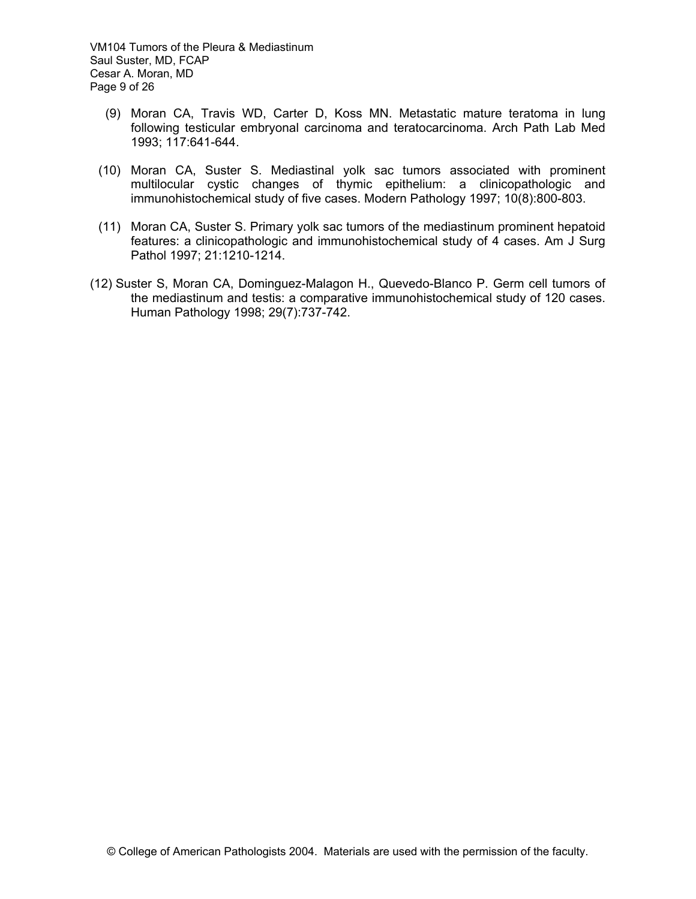VM104 Tumors of the Pleura & Mediastinum Saul Suster, MD, FCAP Cesar A. Moran, MD Page 9 of 26

- (9) Moran CA, Travis WD, Carter D, Koss MN. Metastatic mature teratoma in lung following testicular embryonal carcinoma and teratocarcinoma. Arch Path Lab Med 1993; 117:641-644.
- (10) Moran CA, Suster S. Mediastinal yolk sac tumors associated with prominent multilocular cystic changes of thymic epithelium: a clinicopathologic and immunohistochemical study of five cases. Modern Pathology 1997; 10(8):800-803.
- (11) Moran CA, Suster S. Primary yolk sac tumors of the mediastinum prominent hepatoid features: a clinicopathologic and immunohistochemical study of 4 cases. Am J Surg Pathol 1997; 21:1210-1214.
- (12) Suster S, Moran CA, Dominguez-Malagon H., Quevedo-Blanco P. Germ cell tumors of the mediastinum and testis: a comparative immunohistochemical study of 120 cases. Human Pathology 1998; 29(7):737-742.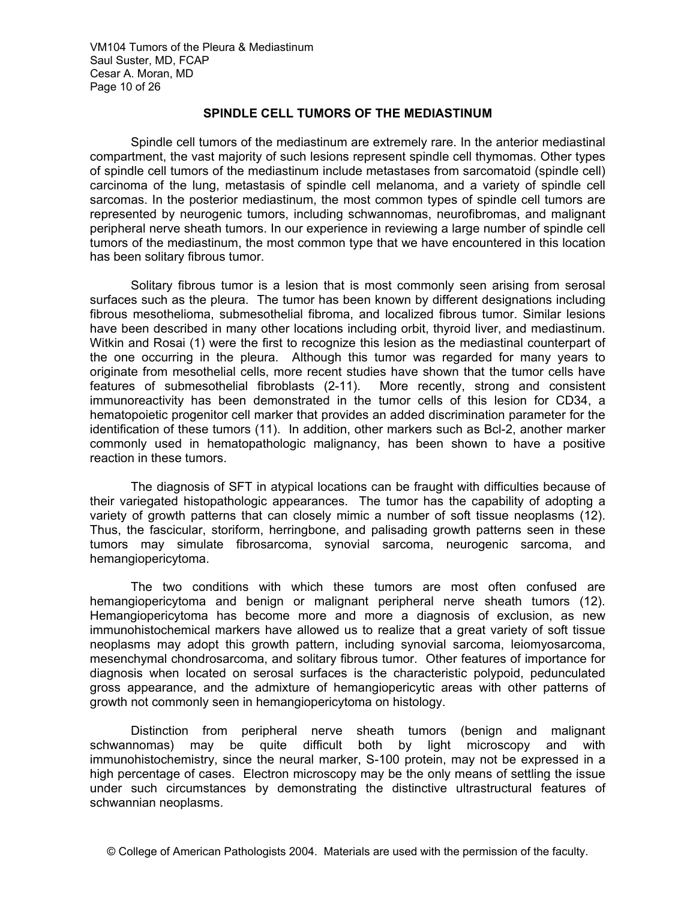VM104 Tumors of the Pleura & Mediastinum Saul Suster, MD, FCAP Cesar A. Moran, MD Page 10 of 26

# **SPINDLE CELL TUMORS OF THE MEDIASTINUM**

 Spindle cell tumors of the mediastinum are extremely rare. In the anterior mediastinal compartment, the vast majority of such lesions represent spindle cell thymomas. Other types of spindle cell tumors of the mediastinum include metastases from sarcomatoid (spindle cell) carcinoma of the lung, metastasis of spindle cell melanoma, and a variety of spindle cell sarcomas. In the posterior mediastinum, the most common types of spindle cell tumors are represented by neurogenic tumors, including schwannomas, neurofibromas, and malignant peripheral nerve sheath tumors. In our experience in reviewing a large number of spindle cell tumors of the mediastinum, the most common type that we have encountered in this location has been solitary fibrous tumor.

Solitary fibrous tumor is a lesion that is most commonly seen arising from serosal surfaces such as the pleura. The tumor has been known by different designations including fibrous mesothelioma, submesothelial fibroma, and localized fibrous tumor. Similar lesions have been described in many other locations including orbit, thyroid liver, and mediastinum. Witkin and Rosai (1) were the first to recognize this lesion as the mediastinal counterpart of the one occurring in the pleura. Although this tumor was regarded for many years to originate from mesothelial cells, more recent studies have shown that the tumor cells have features of submesothelial fibroblasts (2-11). More recently, strong and consistent immunoreactivity has been demonstrated in the tumor cells of this lesion for CD34, a hematopoietic progenitor cell marker that provides an added discrimination parameter for the identification of these tumors (11). In addition, other markers such as Bcl-2, another marker commonly used in hematopathologic malignancy, has been shown to have a positive reaction in these tumors.

 The diagnosis of SFT in atypical locations can be fraught with difficulties because of their variegated histopathologic appearances. The tumor has the capability of adopting a variety of growth patterns that can closely mimic a number of soft tissue neoplasms (12). Thus, the fascicular, storiform, herringbone, and palisading growth patterns seen in these tumors may simulate fibrosarcoma, synovial sarcoma, neurogenic sarcoma, and hemangiopericytoma.

The two conditions with which these tumors are most often confused are hemangiopericytoma and benign or malignant peripheral nerve sheath tumors (12). Hemangiopericytoma has become more and more a diagnosis of exclusion, as new immunohistochemical markers have allowed us to realize that a great variety of soft tissue neoplasms may adopt this growth pattern, including synovial sarcoma, leiomyosarcoma, mesenchymal chondrosarcoma, and solitary fibrous tumor. Other features of importance for diagnosis when located on serosal surfaces is the characteristic polypoid, pedunculated gross appearance, and the admixture of hemangiopericytic areas with other patterns of growth not commonly seen in hemangiopericytoma on histology.

Distinction from peripheral nerve sheath tumors (benign and malignant schwannomas) may be quite difficult both by light microscopy and with immunohistochemistry, since the neural marker, S-100 protein, may not be expressed in a high percentage of cases. Electron microscopy may be the only means of settling the issue under such circumstances by demonstrating the distinctive ultrastructural features of schwannian neoplasms.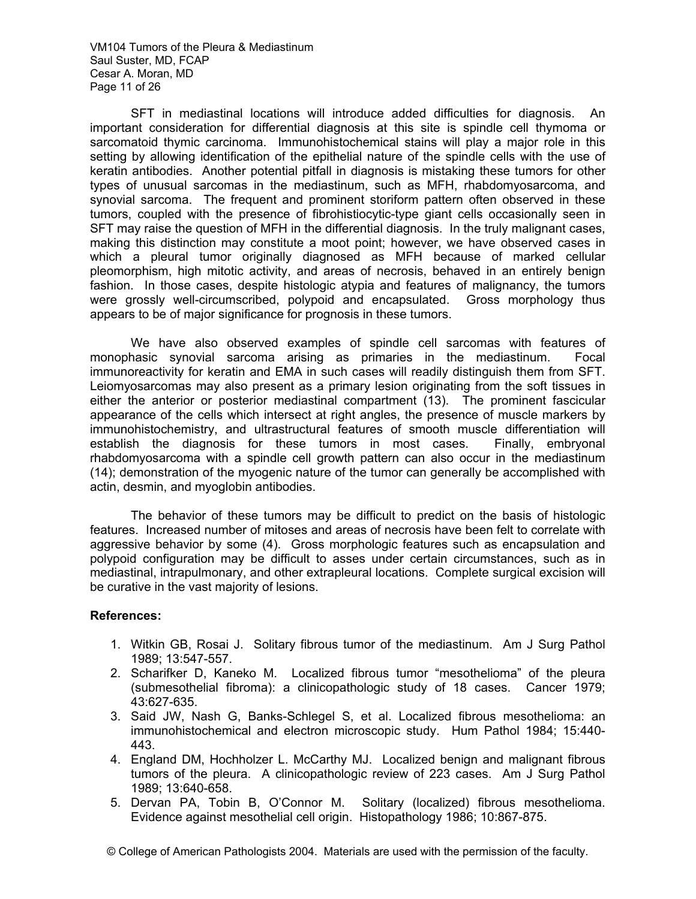VM104 Tumors of the Pleura & Mediastinum Saul Suster, MD, FCAP Cesar A. Moran, MD Page 11 of 26

 SFT in mediastinal locations will introduce added difficulties for diagnosis. An important consideration for differential diagnosis at this site is spindle cell thymoma or sarcomatoid thymic carcinoma. Immunohistochemical stains will play a major role in this setting by allowing identification of the epithelial nature of the spindle cells with the use of keratin antibodies. Another potential pitfall in diagnosis is mistaking these tumors for other types of unusual sarcomas in the mediastinum, such as MFH, rhabdomyosarcoma, and synovial sarcoma. The frequent and prominent storiform pattern often observed in these tumors, coupled with the presence of fibrohistiocytic-type giant cells occasionally seen in SFT may raise the question of MFH in the differential diagnosis. In the truly malignant cases, making this distinction may constitute a moot point; however, we have observed cases in which a pleural tumor originally diagnosed as MFH because of marked cellular pleomorphism, high mitotic activity, and areas of necrosis, behaved in an entirely benign fashion. In those cases, despite histologic atypia and features of malignancy, the tumors were grossly well-circumscribed, polypoid and encapsulated. Gross morphology thus appears to be of major significance for prognosis in these tumors.

We have also observed examples of spindle cell sarcomas with features of monophasic synovial sarcoma arising as primaries in the mediastinum. Focal immunoreactivity for keratin and EMA in such cases will readily distinguish them from SFT. Leiomyosarcomas may also present as a primary lesion originating from the soft tissues in either the anterior or posterior mediastinal compartment (13). The prominent fascicular appearance of the cells which intersect at right angles, the presence of muscle markers by immunohistochemistry, and ultrastructural features of smooth muscle differentiation will establish the diagnosis for these tumors in most cases. Finally, embryonal rhabdomyosarcoma with a spindle cell growth pattern can also occur in the mediastinum (14); demonstration of the myogenic nature of the tumor can generally be accomplished with actin, desmin, and myoglobin antibodies.

The behavior of these tumors may be difficult to predict on the basis of histologic features. Increased number of mitoses and areas of necrosis have been felt to correlate with aggressive behavior by some (4). Gross morphologic features such as encapsulation and polypoid configuration may be difficult to asses under certain circumstances, such as in mediastinal, intrapulmonary, and other extrapleural locations. Complete surgical excision will be curative in the vast majority of lesions.

### **References:**

- 1. Witkin GB, Rosai J. Solitary fibrous tumor of the mediastinum. Am J Surg Pathol 1989; 13:547-557.
- 2. Scharifker D, Kaneko M. Localized fibrous tumor "mesothelioma" of the pleura (submesothelial fibroma): a clinicopathologic study of 18 cases. Cancer 1979; 43:627-635.
- 3. Said JW, Nash G, Banks-Schlegel S, et al. Localized fibrous mesothelioma: an immunohistochemical and electron microscopic study. Hum Pathol 1984; 15:440- 443.
- 4. England DM, Hochholzer L. McCarthy MJ. Localized benign and malignant fibrous tumors of the pleura. A clinicopathologic review of 223 cases. Am J Surg Pathol 1989; 13:640-658.
- 5. Dervan PA, Tobin B, O'Connor M. Solitary (localized) fibrous mesothelioma. Evidence against mesothelial cell origin. Histopathology 1986; 10:867-875.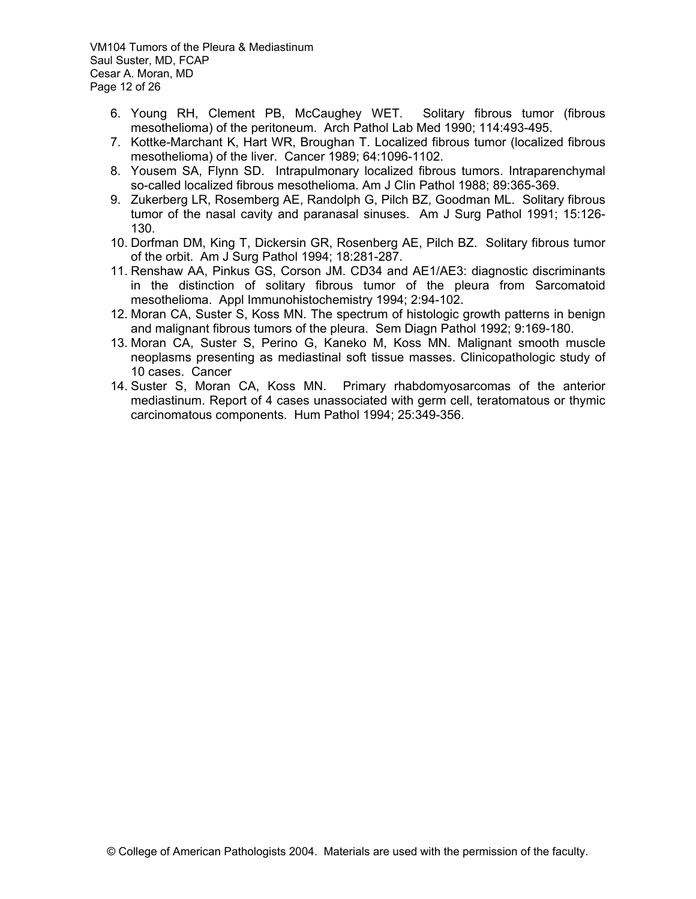VM104 Tumors of the Pleura & Mediastinum Saul Suster, MD, FCAP Cesar A. Moran, MD Page 12 of 26

- 6. Young RH, Clement PB, McCaughey WET. Solitary fibrous tumor (fibrous mesothelioma) of the peritoneum. Arch Pathol Lab Med 1990; 114:493-495.
- 7. Kottke-Marchant K, Hart WR, Broughan T. Localized fibrous tumor (localized fibrous mesothelioma) of the liver. Cancer 1989; 64:1096-1102.
- 8. Yousem SA, Flynn SD. Intrapulmonary localized fibrous tumors. Intraparenchymal so-called localized fibrous mesothelioma. Am J Clin Pathol 1988; 89:365-369.
- 9. Zukerberg LR, Rosemberg AE, Randolph G, Pilch BZ, Goodman ML. Solitary fibrous tumor of the nasal cavity and paranasal sinuses. Am J Surg Pathol 1991; 15:126- 130.
- 10. Dorfman DM, King T, Dickersin GR, Rosenberg AE, Pilch BZ. Solitary fibrous tumor of the orbit. Am J Surg Pathol 1994; 18:281-287.
- 11. Renshaw AA, Pinkus GS, Corson JM. CD34 and AE1/AE3: diagnostic discriminants in the distinction of solitary fibrous tumor of the pleura from Sarcomatoid mesothelioma. Appl Immunohistochemistry 1994; 2:94-102.
- 12. Moran CA, Suster S, Koss MN. The spectrum of histologic growth patterns in benign and malignant fibrous tumors of the pleura. Sem Diagn Pathol 1992; 9:169-180.
- 13. Moran CA, Suster S, Perino G, Kaneko M, Koss MN. Malignant smooth muscle neoplasms presenting as mediastinal soft tissue masses. Clinicopathologic study of 10 cases. Cancer
- 14. Suster S, Moran CA, Koss MN. Primary rhabdomyosarcomas of the anterior mediastinum. Report of 4 cases unassociated with germ cell, teratomatous or thymic carcinomatous components. Hum Pathol 1994; 25:349-356.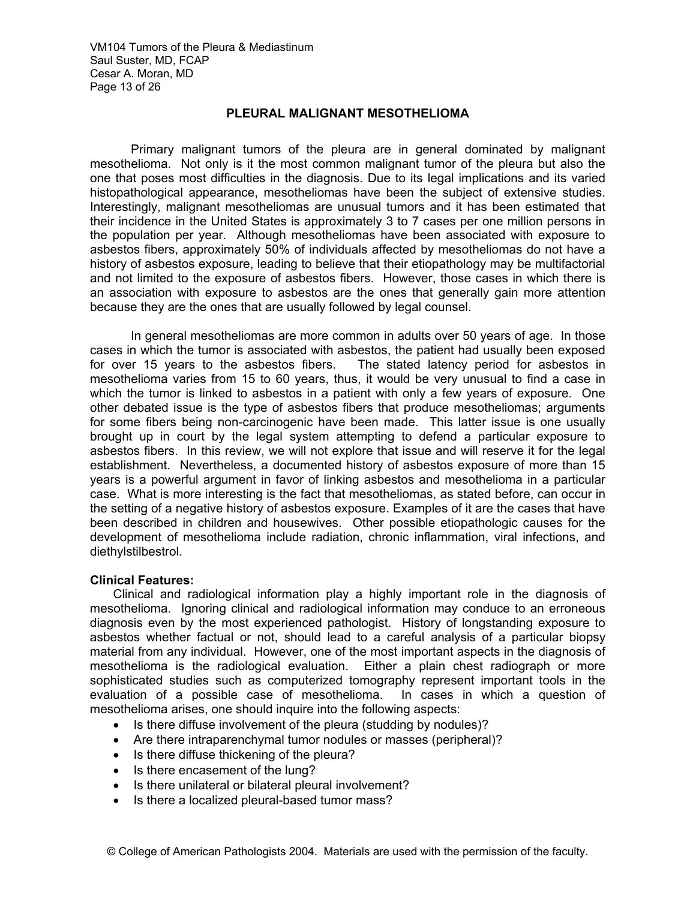VM104 Tumors of the Pleura & Mediastinum Saul Suster, MD, FCAP Cesar A. Moran, MD Page 13 of 26

# **PLEURAL MALIGNANT MESOTHELIOMA**

 Primary malignant tumors of the pleura are in general dominated by malignant mesothelioma. Not only is it the most common malignant tumor of the pleura but also the one that poses most difficulties in the diagnosis. Due to its legal implications and its varied histopathological appearance, mesotheliomas have been the subject of extensive studies. Interestingly, malignant mesotheliomas are unusual tumors and it has been estimated that their incidence in the United States is approximately 3 to 7 cases per one million persons in the population per year. Although mesotheliomas have been associated with exposure to asbestos fibers, approximately 50% of individuals affected by mesotheliomas do not have a history of asbestos exposure, leading to believe that their etiopathology may be multifactorial and not limited to the exposure of asbestos fibers. However, those cases in which there is an association with exposure to asbestos are the ones that generally gain more attention because they are the ones that are usually followed by legal counsel.

 In general mesotheliomas are more common in adults over 50 years of age. In those cases in which the tumor is associated with asbestos, the patient had usually been exposed for over 15 years to the asbestos fibers. The stated latency period for asbestos in mesothelioma varies from 15 to 60 years, thus, it would be very unusual to find a case in which the tumor is linked to asbestos in a patient with only a few years of exposure. One other debated issue is the type of asbestos fibers that produce mesotheliomas; arguments for some fibers being non-carcinogenic have been made. This latter issue is one usually brought up in court by the legal system attempting to defend a particular exposure to asbestos fibers. In this review, we will not explore that issue and will reserve it for the legal establishment. Nevertheless, a documented history of asbestos exposure of more than 15 years is a powerful argument in favor of linking asbestos and mesothelioma in a particular case. What is more interesting is the fact that mesotheliomas, as stated before, can occur in the setting of a negative history of asbestos exposure. Examples of it are the cases that have been described in children and housewives. Other possible etiopathologic causes for the development of mesothelioma include radiation, chronic inflammation, viral infections, and diethylstilbestrol.

#### **Clinical Features:**

Clinical and radiological information play a highly important role in the diagnosis of mesothelioma. Ignoring clinical and radiological information may conduce to an erroneous diagnosis even by the most experienced pathologist. History of longstanding exposure to asbestos whether factual or not, should lead to a careful analysis of a particular biopsy material from any individual. However, one of the most important aspects in the diagnosis of mesothelioma is the radiological evaluation. Either a plain chest radiograph or more sophisticated studies such as computerized tomography represent important tools in the evaluation of a possible case of mesothelioma. In cases in which a question of mesothelioma arises, one should inquire into the following aspects:

- Is there diffuse involvement of the pleura (studding by nodules)?
- Are there intraparenchymal tumor nodules or masses (peripheral)?
- Is there diffuse thickening of the pleura?
- Is there encasement of the lung?
- Is there unilateral or bilateral pleural involvement?
- Is there a localized pleural-based tumor mass?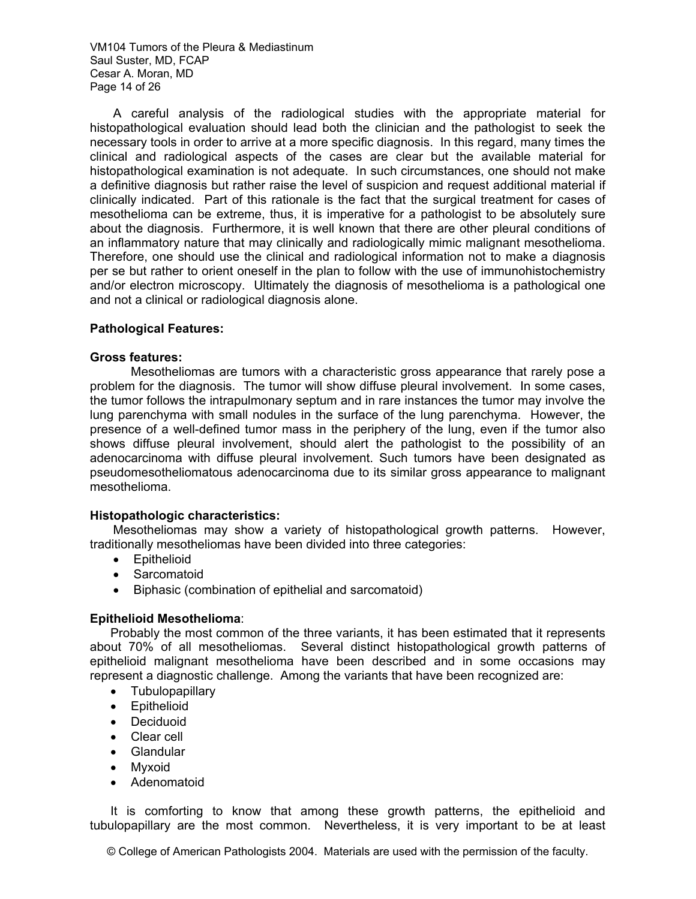VM104 Tumors of the Pleura & Mediastinum Saul Suster, MD, FCAP Cesar A. Moran, MD Page 14 of 26

A careful analysis of the radiological studies with the appropriate material for histopathological evaluation should lead both the clinician and the pathologist to seek the necessary tools in order to arrive at a more specific diagnosis. In this regard, many times the clinical and radiological aspects of the cases are clear but the available material for histopathological examination is not adequate. In such circumstances, one should not make a definitive diagnosis but rather raise the level of suspicion and request additional material if clinically indicated. Part of this rationale is the fact that the surgical treatment for cases of mesothelioma can be extreme, thus, it is imperative for a pathologist to be absolutely sure about the diagnosis. Furthermore, it is well known that there are other pleural conditions of an inflammatory nature that may clinically and radiologically mimic malignant mesothelioma. Therefore, one should use the clinical and radiological information not to make a diagnosis per se but rather to orient oneself in the plan to follow with the use of immunohistochemistry and/or electron microscopy. Ultimately the diagnosis of mesothelioma is a pathological one and not a clinical or radiological diagnosis alone.

### **Pathological Features:**

#### **Gross features:**

Mesotheliomas are tumors with a characteristic gross appearance that rarely pose a problem for the diagnosis. The tumor will show diffuse pleural involvement. In some cases, the tumor follows the intrapulmonary septum and in rare instances the tumor may involve the lung parenchyma with small nodules in the surface of the lung parenchyma. However, the presence of a well-defined tumor mass in the periphery of the lung, even if the tumor also shows diffuse pleural involvement, should alert the pathologist to the possibility of an adenocarcinoma with diffuse pleural involvement. Such tumors have been designated as pseudomesotheliomatous adenocarcinoma due to its similar gross appearance to malignant mesothelioma.

#### **Histopathologic characteristics:**

Mesotheliomas may show a variety of histopathological growth patterns. However, traditionally mesotheliomas have been divided into three categories:

- Epithelioid
- Sarcomatoid
- Biphasic (combination of epithelial and sarcomatoid)

#### **Epithelioid Mesothelioma**:

Probably the most common of the three variants, it has been estimated that it represents about 70% of all mesotheliomas. Several distinct histopathological growth patterns of epithelioid malignant mesothelioma have been described and in some occasions may represent a diagnostic challenge. Among the variants that have been recognized are:

- Tubulopapillary
- Epithelioid
- **Deciduoid**
- Clear cell
- Glandular
- Myxoid
- Adenomatoid

It is comforting to know that among these growth patterns, the epithelioid and tubulopapillary are the most common. Nevertheless, it is very important to be at least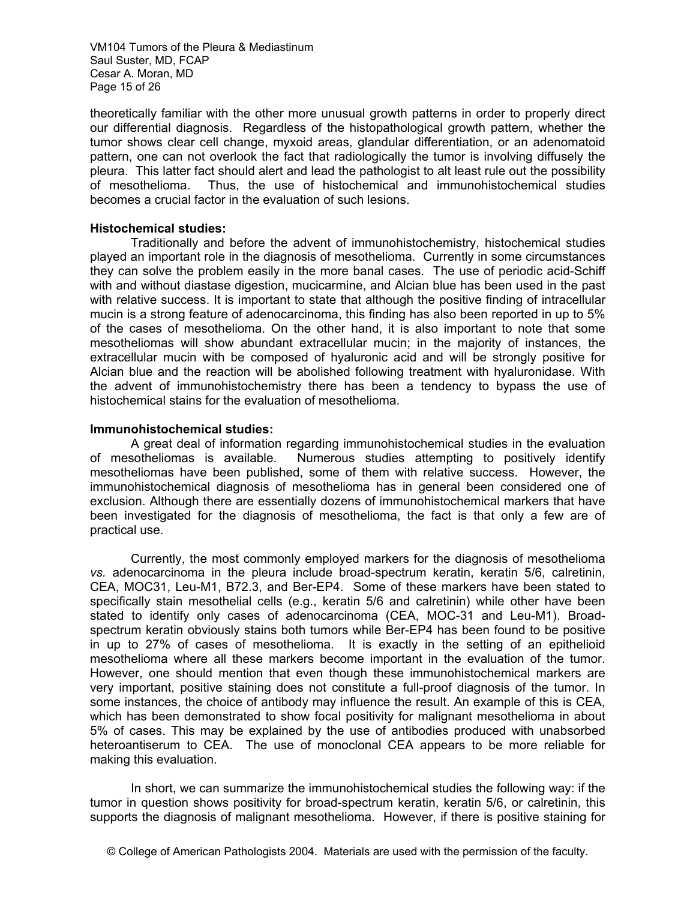VM104 Tumors of the Pleura & Mediastinum Saul Suster, MD, FCAP Cesar A. Moran, MD Page 15 of 26

theoretically familiar with the other more unusual growth patterns in order to properly direct our differential diagnosis. Regardless of the histopathological growth pattern, whether the tumor shows clear cell change, myxoid areas, glandular differentiation, or an adenomatoid pattern, one can not overlook the fact that radiologically the tumor is involving diffusely the pleura. This latter fact should alert and lead the pathologist to alt least rule out the possibility of mesothelioma. Thus, the use of histochemical and immunohistochemical studies becomes a crucial factor in the evaluation of such lesions.

#### **Histochemical studies:**

Traditionally and before the advent of immunohistochemistry, histochemical studies played an important role in the diagnosis of mesothelioma. Currently in some circumstances they can solve the problem easily in the more banal cases. The use of periodic acid-Schiff with and without diastase digestion, mucicarmine, and Alcian blue has been used in the past with relative success. It is important to state that although the positive finding of intracellular mucin is a strong feature of adenocarcinoma, this finding has also been reported in up to 5% of the cases of mesothelioma. On the other hand, it is also important to note that some mesotheliomas will show abundant extracellular mucin; in the majority of instances, the extracellular mucin with be composed of hyaluronic acid and will be strongly positive for Alcian blue and the reaction will be abolished following treatment with hyaluronidase. With the advent of immunohistochemistry there has been a tendency to bypass the use of histochemical stains for the evaluation of mesothelioma.

#### **Immunohistochemical studies:**

A great deal of information regarding immunohistochemical studies in the evaluation of mesotheliomas is available. Numerous studies attempting to positively identify mesotheliomas have been published, some of them with relative success. However, the immunohistochemical diagnosis of mesothelioma has in general been considered one of exclusion. Although there are essentially dozens of immunohistochemical markers that have been investigated for the diagnosis of mesothelioma, the fact is that only a few are of practical use.

Currently, the most commonly employed markers for the diagnosis of mesothelioma *vs.* adenocarcinoma in the pleura include broad-spectrum keratin, keratin 5/6, calretinin, CEA, MOC31, Leu-M1, B72.3, and Ber-EP4. Some of these markers have been stated to specifically stain mesothelial cells (e.g., keratin 5/6 and calretinin) while other have been stated to identify only cases of adenocarcinoma (CEA, MOC-31 and Leu-M1). Broadspectrum keratin obviously stains both tumors while Ber-EP4 has been found to be positive in up to 27% of cases of mesothelioma. It is exactly in the setting of an epithelioid mesothelioma where all these markers become important in the evaluation of the tumor. However, one should mention that even though these immunohistochemical markers are very important, positive staining does not constitute a full-proof diagnosis of the tumor. In some instances, the choice of antibody may influence the result. An example of this is CEA, which has been demonstrated to show focal positivity for malignant mesothelioma in about 5% of cases. This may be explained by the use of antibodies produced with unabsorbed heteroantiserum to CEA. The use of monoclonal CEA appears to be more reliable for making this evaluation.

In short, we can summarize the immunohistochemical studies the following way: if the tumor in question shows positivity for broad-spectrum keratin, keratin 5/6, or calretinin, this supports the diagnosis of malignant mesothelioma. However, if there is positive staining for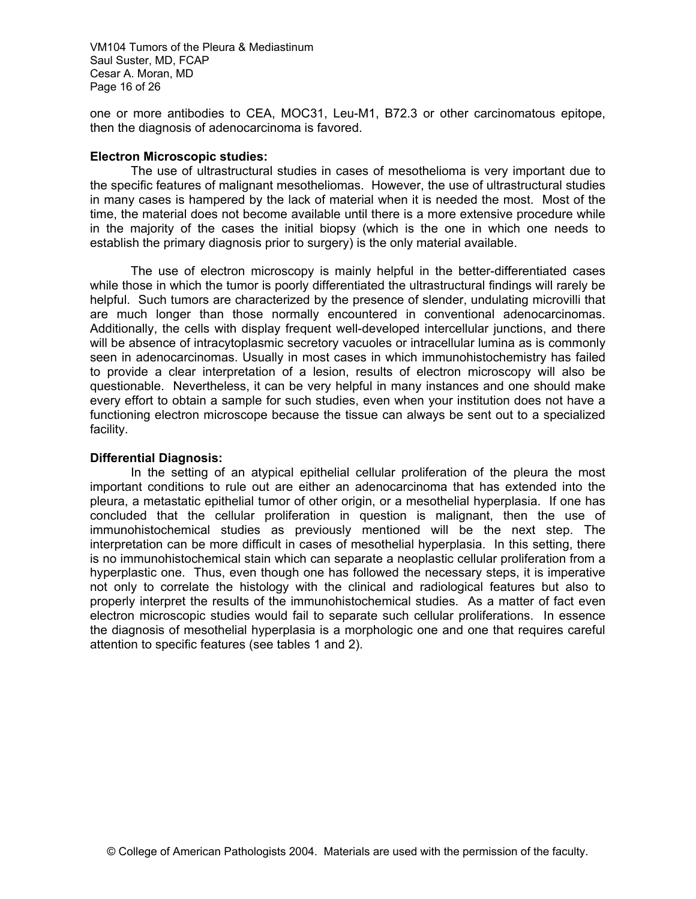VM104 Tumors of the Pleura & Mediastinum Saul Suster, MD, FCAP Cesar A. Moran, MD Page 16 of 26

one or more antibodies to CEA, MOC31, Leu-M1, B72.3 or other carcinomatous epitope, then the diagnosis of adenocarcinoma is favored.

### **Electron Microscopic studies:**

The use of ultrastructural studies in cases of mesothelioma is very important due to the specific features of malignant mesotheliomas. However, the use of ultrastructural studies in many cases is hampered by the lack of material when it is needed the most. Most of the time, the material does not become available until there is a more extensive procedure while in the majority of the cases the initial biopsy (which is the one in which one needs to establish the primary diagnosis prior to surgery) is the only material available.

The use of electron microscopy is mainly helpful in the better-differentiated cases while those in which the tumor is poorly differentiated the ultrastructural findings will rarely be helpful. Such tumors are characterized by the presence of slender, undulating microvilli that are much longer than those normally encountered in conventional adenocarcinomas. Additionally, the cells with display frequent well-developed intercellular junctions, and there will be absence of intracytoplasmic secretory vacuoles or intracellular lumina as is commonly seen in adenocarcinomas. Usually in most cases in which immunohistochemistry has failed to provide a clear interpretation of a lesion, results of electron microscopy will also be questionable. Nevertheless, it can be very helpful in many instances and one should make every effort to obtain a sample for such studies, even when your institution does not have a functioning electron microscope because the tissue can always be sent out to a specialized facility.

### **Differential Diagnosis:**

 In the setting of an atypical epithelial cellular proliferation of the pleura the most important conditions to rule out are either an adenocarcinoma that has extended into the pleura, a metastatic epithelial tumor of other origin, or a mesothelial hyperplasia. If one has concluded that the cellular proliferation in question is malignant, then the use of immunohistochemical studies as previously mentioned will be the next step. The interpretation can be more difficult in cases of mesothelial hyperplasia. In this setting, there is no immunohistochemical stain which can separate a neoplastic cellular proliferation from a hyperplastic one. Thus, even though one has followed the necessary steps, it is imperative not only to correlate the histology with the clinical and radiological features but also to properly interpret the results of the immunohistochemical studies. As a matter of fact even electron microscopic studies would fail to separate such cellular proliferations. In essence the diagnosis of mesothelial hyperplasia is a morphologic one and one that requires careful attention to specific features (see tables 1 and 2).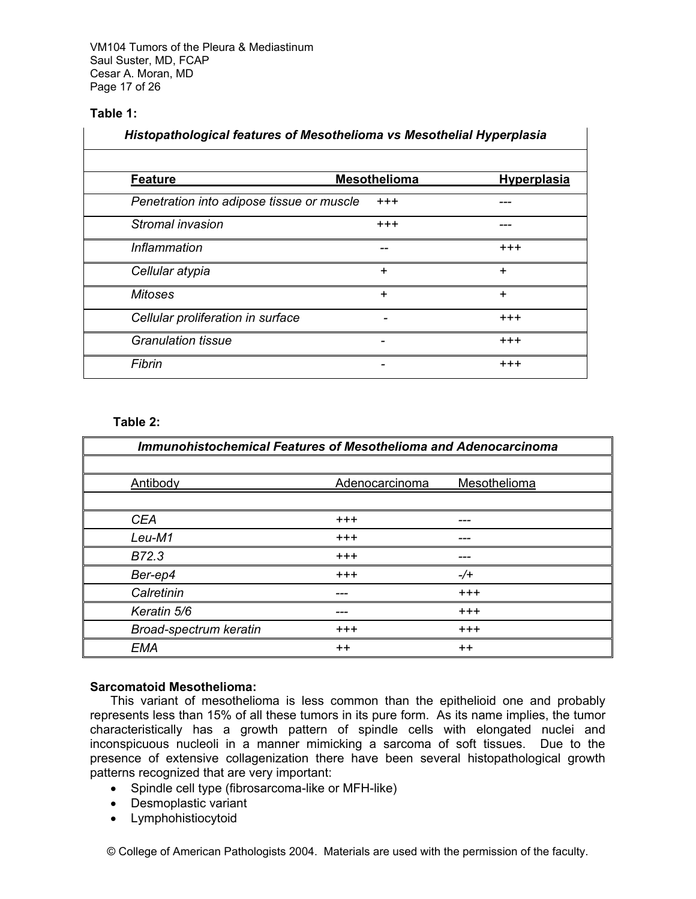VM104 Tumors of the Pleura & Mediastinum Saul Suster, MD, FCAP Cesar A. Moran, MD Page 17 of 26

# **Table 1:**

| Histopathological features of Mesothelioma vs Mesothelial Hyperplasia |                     |                    |
|-----------------------------------------------------------------------|---------------------|--------------------|
|                                                                       |                     |                    |
| <b>Feature</b>                                                        | <b>Mesothelioma</b> | <b>Hyperplasia</b> |
| Penetration into adipose tissue or muscle                             | $^{+++}$            |                    |
| Stromal invasion                                                      | $^{+++}$            |                    |
| Inflammation                                                          | --                  | $^{+++}$           |
| Cellular atypia                                                       | ÷                   | ÷                  |
| <b>Mitoses</b>                                                        | $\ddot{}$           | $\div$             |
| Cellular proliferation in surface                                     |                     | $^{+++}$           |
| <b>Granulation tissue</b>                                             |                     | $^{+++}$           |
| Fibrin                                                                |                     | $^{+++}$           |

### **Table 2:**

| <b>Immunohistochemical Features of Mesothelioma and Adenocarcinoma</b> |                |              |
|------------------------------------------------------------------------|----------------|--------------|
|                                                                        |                |              |
| Antibody                                                               | Adenocarcinoma | Mesothelioma |
|                                                                        |                |              |
| <b>CEA</b>                                                             | $^{+++}$       |              |
| Leu-M1                                                                 | $^{+++}$       |              |
| B72.3                                                                  | $^{+++}$       |              |
| Ber-ep4                                                                | $^{+++}$       | $-/-$        |
| Calretinin                                                             |                | $^{+++}$     |
| Keratin 5/6                                                            | ---            | $^{+++}$     |
| Broad-spectrum keratin                                                 | $^{+++}$       | $^{+++}$     |
| <b>EMA</b>                                                             | $++$           | $++$         |

### **Sarcomatoid Mesothelioma:**

This variant of mesothelioma is less common than the epithelioid one and probably represents less than 15% of all these tumors in its pure form. As its name implies, the tumor characteristically has a growth pattern of spindle cells with elongated nuclei and inconspicuous nucleoli in a manner mimicking a sarcoma of soft tissues. Due to the presence of extensive collagenization there have been several histopathological growth patterns recognized that are very important:

- Spindle cell type (fibrosarcoma-like or MFH-like)
- Desmoplastic variant
- Lymphohistiocytoid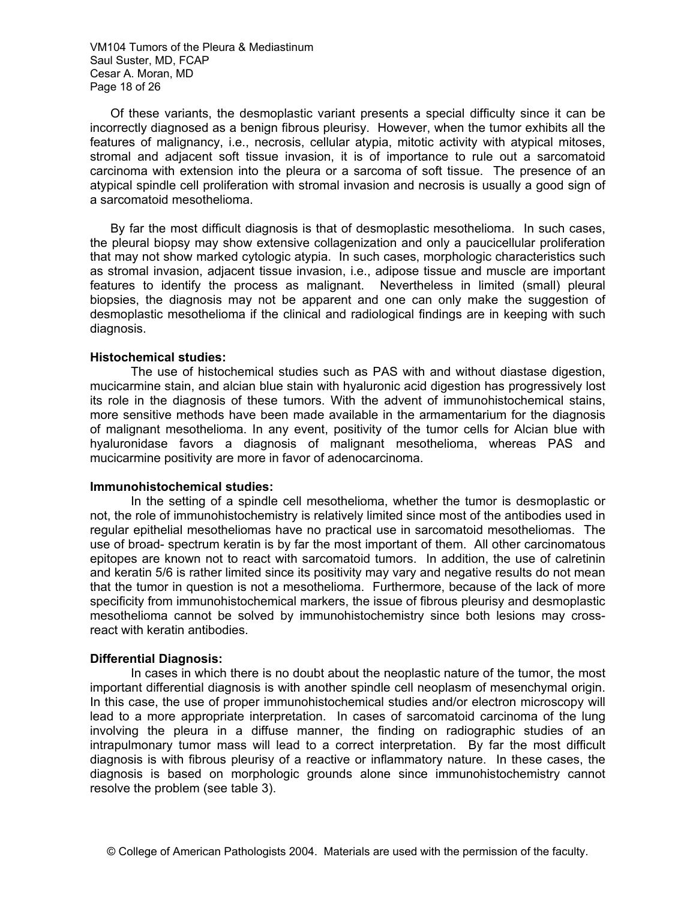VM104 Tumors of the Pleura & Mediastinum Saul Suster, MD, FCAP Cesar A. Moran, MD Page 18 of 26

Of these variants, the desmoplastic variant presents a special difficulty since it can be incorrectly diagnosed as a benign fibrous pleurisy. However, when the tumor exhibits all the features of malignancy, i.e., necrosis, cellular atypia, mitotic activity with atypical mitoses, stromal and adjacent soft tissue invasion, it is of importance to rule out a sarcomatoid carcinoma with extension into the pleura or a sarcoma of soft tissue. The presence of an atypical spindle cell proliferation with stromal invasion and necrosis is usually a good sign of a sarcomatoid mesothelioma.

By far the most difficult diagnosis is that of desmoplastic mesothelioma. In such cases, the pleural biopsy may show extensive collagenization and only a paucicellular proliferation that may not show marked cytologic atypia. In such cases, morphologic characteristics such as stromal invasion, adjacent tissue invasion, i.e., adipose tissue and muscle are important features to identify the process as malignant. Nevertheless in limited (small) pleural biopsies, the diagnosis may not be apparent and one can only make the suggestion of desmoplastic mesothelioma if the clinical and radiological findings are in keeping with such diagnosis.

#### **Histochemical studies:**

The use of histochemical studies such as PAS with and without diastase digestion, mucicarmine stain, and alcian blue stain with hyaluronic acid digestion has progressively lost its role in the diagnosis of these tumors. With the advent of immunohistochemical stains, more sensitive methods have been made available in the armamentarium for the diagnosis of malignant mesothelioma. In any event, positivity of the tumor cells for Alcian blue with hyaluronidase favors a diagnosis of malignant mesothelioma, whereas PAS and mucicarmine positivity are more in favor of adenocarcinoma.

### **Immunohistochemical studies:**

In the setting of a spindle cell mesothelioma, whether the tumor is desmoplastic or not, the role of immunohistochemistry is relatively limited since most of the antibodies used in regular epithelial mesotheliomas have no practical use in sarcomatoid mesotheliomas. The use of broad- spectrum keratin is by far the most important of them. All other carcinomatous epitopes are known not to react with sarcomatoid tumors. In addition, the use of calretinin and keratin 5/6 is rather limited since its positivity may vary and negative results do not mean that the tumor in question is not a mesothelioma. Furthermore, because of the lack of more specificity from immunohistochemical markers, the issue of fibrous pleurisy and desmoplastic mesothelioma cannot be solved by immunohistochemistry since both lesions may crossreact with keratin antibodies.

### **Differential Diagnosis:**

 In cases in which there is no doubt about the neoplastic nature of the tumor, the most important differential diagnosis is with another spindle cell neoplasm of mesenchymal origin. In this case, the use of proper immunohistochemical studies and/or electron microscopy will lead to a more appropriate interpretation. In cases of sarcomatoid carcinoma of the lung involving the pleura in a diffuse manner, the finding on radiographic studies of an intrapulmonary tumor mass will lead to a correct interpretation. By far the most difficult diagnosis is with fibrous pleurisy of a reactive or inflammatory nature. In these cases, the diagnosis is based on morphologic grounds alone since immunohistochemistry cannot resolve the problem (see table 3).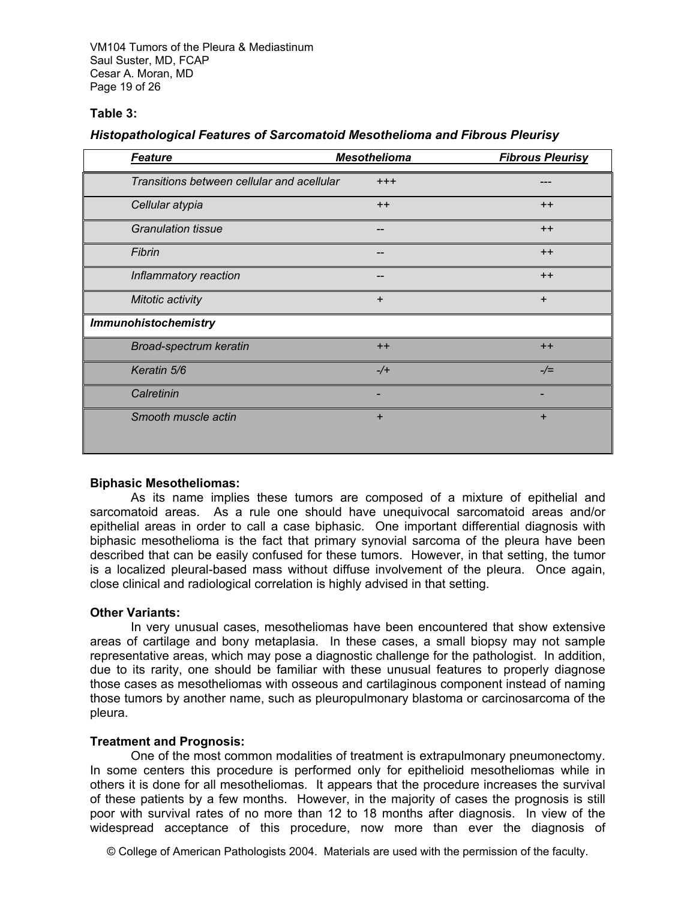VM104 Tumors of the Pleura & Mediastinum Saul Suster, MD, FCAP Cesar A. Moran, MD Page 19 of 26

### **Table 3:**

### *Histopathological Features of Sarcomatoid Mesothelioma and Fibrous Pleurisy*

| <b>Feature</b>                             | <b>Mesothelioma</b> | <b>Fibrous Pleurisy</b> |
|--------------------------------------------|---------------------|-------------------------|
| Transitions between cellular and acellular | $^{+++}$            |                         |
| Cellular atypia                            | $++$                | $++$                    |
| <b>Granulation tissue</b>                  |                     | $++$                    |
| Fibrin                                     |                     | $++$                    |
| Inflammatory reaction                      |                     | $++$                    |
| Mitotic activity                           | $\ddot{}$           | $\ddot{}$               |
| <b>Immunohistochemistry</b>                |                     |                         |
| Broad-spectrum keratin                     | $++$                | $++$                    |
| Keratin 5/6                                | $-/+$               | $-\sqrt{=}$             |
| Calretinin                                 |                     |                         |
| Smooth muscle actin                        | $\pm$               | ÷                       |

### **Biphasic Mesotheliomas:**

As its name implies these tumors are composed of a mixture of epithelial and sarcomatoid areas. As a rule one should have unequivocal sarcomatoid areas and/or epithelial areas in order to call a case biphasic. One important differential diagnosis with biphasic mesothelioma is the fact that primary synovial sarcoma of the pleura have been described that can be easily confused for these tumors. However, in that setting, the tumor is a localized pleural-based mass without diffuse involvement of the pleura. Once again, close clinical and radiological correlation is highly advised in that setting.

### **Other Variants:**

In very unusual cases, mesotheliomas have been encountered that show extensive areas of cartilage and bony metaplasia. In these cases, a small biopsy may not sample representative areas, which may pose a diagnostic challenge for the pathologist. In addition, due to its rarity, one should be familiar with these unusual features to properly diagnose those cases as mesotheliomas with osseous and cartilaginous component instead of naming those tumors by another name, such as pleuropulmonary blastoma or carcinosarcoma of the pleura.

# **Treatment and Prognosis:**

 One of the most common modalities of treatment is extrapulmonary pneumonectomy. In some centers this procedure is performed only for epithelioid mesotheliomas while in others it is done for all mesotheliomas. It appears that the procedure increases the survival of these patients by a few months. However, in the majority of cases the prognosis is still poor with survival rates of no more than 12 to 18 months after diagnosis. In view of the widespread acceptance of this procedure, now more than ever the diagnosis of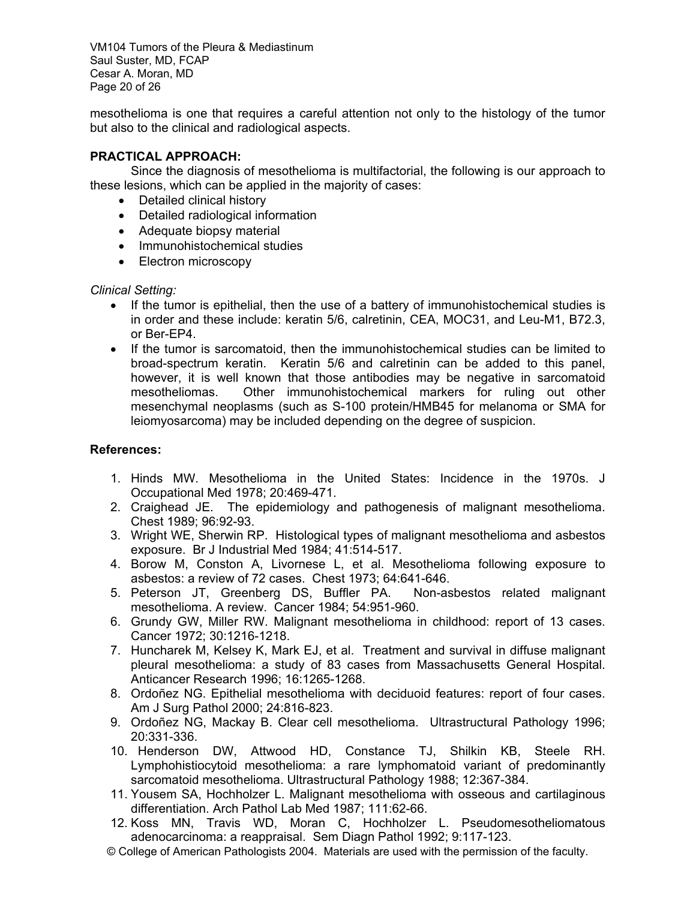VM104 Tumors of the Pleura & Mediastinum Saul Suster, MD, FCAP Cesar A. Moran, MD Page 20 of 26

mesothelioma is one that requires a careful attention not only to the histology of the tumor but also to the clinical and radiological aspects.

# **PRACTICAL APPROACH:**

 Since the diagnosis of mesothelioma is multifactorial, the following is our approach to these lesions, which can be applied in the majority of cases:

- Detailed clinical history
- Detailed radiological information
- Adequate biopsy material
- Immunohistochemical studies
- Electron microscopy

# *Clinical Setting:*

- If the tumor is epithelial, then the use of a battery of immunohistochemical studies is in order and these include: keratin 5/6, calretinin, CEA, MOC31, and Leu-M1, B72.3, or Ber-EP4.
- If the tumor is sarcomatoid, then the immunohistochemical studies can be limited to broad-spectrum keratin. Keratin 5/6 and calretinin can be added to this panel, however, it is well known that those antibodies may be negative in sarcomatoid mesotheliomas. Other immunohistochemical markers for ruling out other mesenchymal neoplasms (such as S-100 protein/HMB45 for melanoma or SMA for leiomyosarcoma) may be included depending on the degree of suspicion.

# **References:**

- 1. Hinds MW. Mesothelioma in the United States: Incidence in the 1970s. J Occupational Med 1978; 20:469-471.
- 2. Craighead JE. The epidemiology and pathogenesis of malignant mesothelioma. Chest 1989; 96:92-93.
- 3. Wright WE, Sherwin RP. Histological types of malignant mesothelioma and asbestos exposure. Br J Industrial Med 1984; 41:514-517.
- 4. Borow M, Conston A, Livornese L, et al. Mesothelioma following exposure to asbestos: a review of 72 cases. Chest 1973; 64:641-646.
- 5. Peterson JT, Greenberg DS, Buffler PA. Non-asbestos related malignant mesothelioma. A review. Cancer 1984; 54:951-960.
- 6. Grundy GW, Miller RW. Malignant mesothelioma in childhood: report of 13 cases. Cancer 1972; 30:1216-1218.
- 7. Huncharek M, Kelsey K, Mark EJ, et al. Treatment and survival in diffuse malignant pleural mesothelioma: a study of 83 cases from Massachusetts General Hospital. Anticancer Research 1996; 16:1265-1268.
- 8. Ordoñez NG. Epithelial mesothelioma with deciduoid features: report of four cases. Am J Surg Pathol 2000; 24:816-823.
- 9. Ordoñez NG, Mackay B. Clear cell mesothelioma. Ultrastructural Pathology 1996; 20:331-336.
- 10. Henderson DW, Attwood HD, Constance TJ, Shilkin KB, Steele RH. Lymphohistiocytoid mesothelioma: a rare lymphomatoid variant of predominantly sarcomatoid mesothelioma. Ultrastructural Pathology 1988; 12:367-384.
- 11. Yousem SA, Hochholzer L. Malignant mesothelioma with osseous and cartilaginous differentiation. Arch Pathol Lab Med 1987; 111:62-66.
- 12. Koss MN, Travis WD, Moran C, Hochholzer L. Pseudomesotheliomatous adenocarcinoma: a reappraisal. Sem Diagn Pathol 1992; 9:117-123.
- © College of American Pathologists 2004. Materials are used with the permission of the faculty.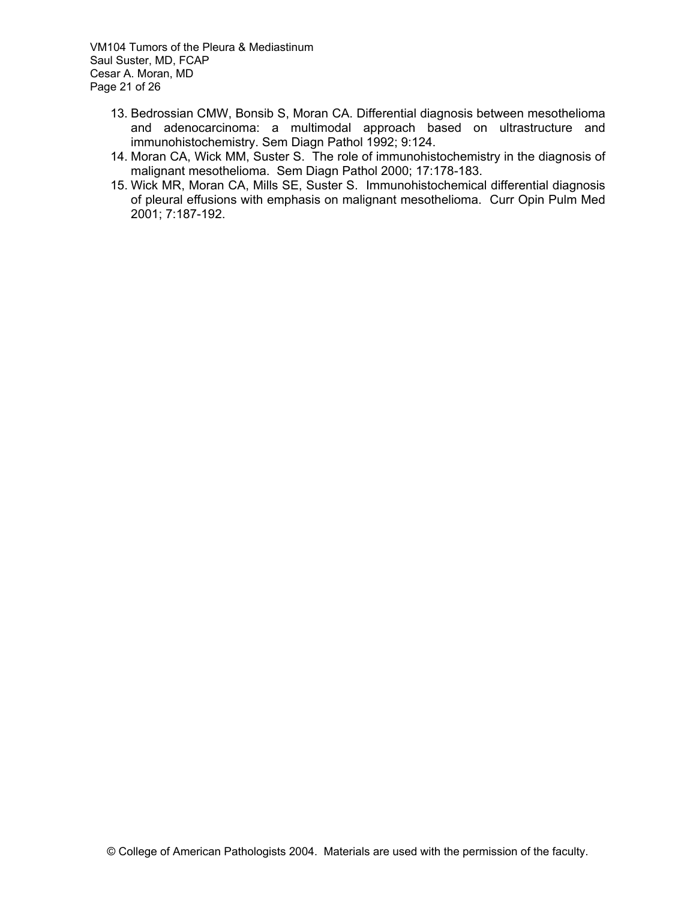VM104 Tumors of the Pleura & Mediastinum Saul Suster, MD, FCAP Cesar A. Moran, MD Page 21 of 26

- 13. Bedrossian CMW, Bonsib S, Moran CA. Differential diagnosis between mesothelioma and adenocarcinoma: a multimodal approach based on ultrastructure and immunohistochemistry. Sem Diagn Pathol 1992; 9:124.
- 14. Moran CA, Wick MM, Suster S. The role of immunohistochemistry in the diagnosis of malignant mesothelioma. Sem Diagn Pathol 2000; 17:178-183.
- 15. Wick MR, Moran CA, Mills SE, Suster S. Immunohistochemical differential diagnosis of pleural effusions with emphasis on malignant mesothelioma. Curr Opin Pulm Med 2001; 7:187-192.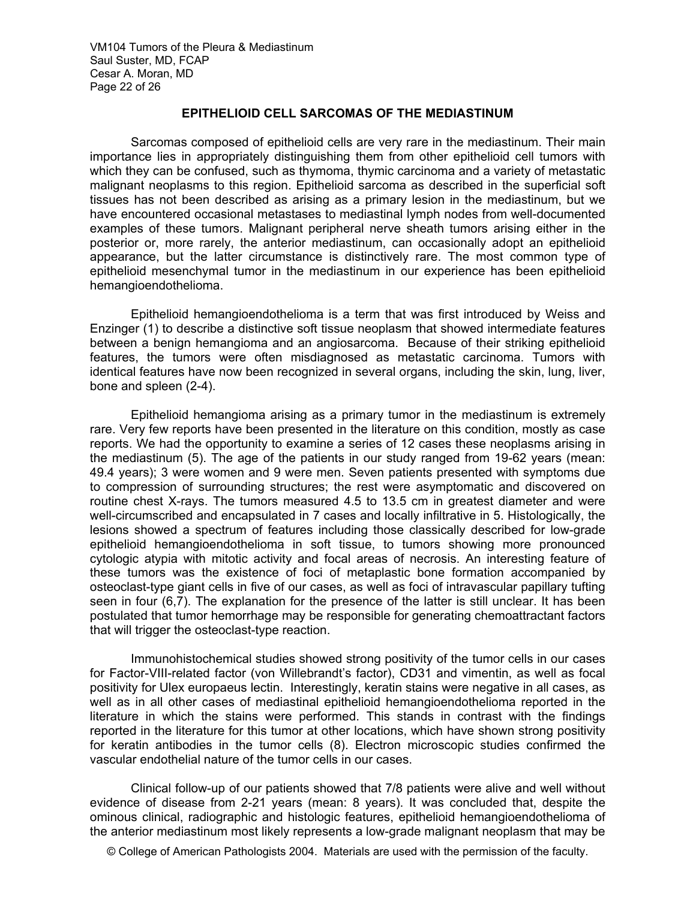VM104 Tumors of the Pleura & Mediastinum Saul Suster, MD, FCAP Cesar A. Moran, MD Page 22 of 26

# **EPITHELIOID CELL SARCOMAS OF THE MEDIASTINUM**

Sarcomas composed of epithelioid cells are very rare in the mediastinum. Their main importance lies in appropriately distinguishing them from other epithelioid cell tumors with which they can be confused, such as thymoma, thymic carcinoma and a variety of metastatic malignant neoplasms to this region. Epithelioid sarcoma as described in the superficial soft tissues has not been described as arising as a primary lesion in the mediastinum, but we have encountered occasional metastases to mediastinal lymph nodes from well-documented examples of these tumors. Malignant peripheral nerve sheath tumors arising either in the posterior or, more rarely, the anterior mediastinum, can occasionally adopt an epithelioid appearance, but the latter circumstance is distinctively rare. The most common type of epithelioid mesenchymal tumor in the mediastinum in our experience has been epithelioid hemangioendothelioma.

Epithelioid hemangioendothelioma is a term that was first introduced by Weiss and Enzinger (1) to describe a distinctive soft tissue neoplasm that showed intermediate features between a benign hemangioma and an angiosarcoma. Because of their striking epithelioid features, the tumors were often misdiagnosed as metastatic carcinoma. Tumors with identical features have now been recognized in several organs, including the skin, lung, liver, bone and spleen (2-4).

 Epithelioid hemangioma arising as a primary tumor in the mediastinum is extremely rare. Very few reports have been presented in the literature on this condition, mostly as case reports. We had the opportunity to examine a series of 12 cases these neoplasms arising in the mediastinum (5). The age of the patients in our study ranged from 19-62 years (mean: 49.4 years); 3 were women and 9 were men. Seven patients presented with symptoms due to compression of surrounding structures; the rest were asymptomatic and discovered on routine chest X-rays. The tumors measured 4.5 to 13.5 cm in greatest diameter and were well-circumscribed and encapsulated in 7 cases and locally infiltrative in 5. Histologically, the lesions showed a spectrum of features including those classically described for low-grade epithelioid hemangioendothelioma in soft tissue, to tumors showing more pronounced cytologic atypia with mitotic activity and focal areas of necrosis. An interesting feature of these tumors was the existence of foci of metaplastic bone formation accompanied by osteoclast-type giant cells in five of our cases, as well as foci of intravascular papillary tufting seen in four (6,7). The explanation for the presence of the latter is still unclear. It has been postulated that tumor hemorrhage may be responsible for generating chemoattractant factors that will trigger the osteoclast-type reaction.

Immunohistochemical studies showed strong positivity of the tumor cells in our cases for Factor-VIII-related factor (von Willebrandt's factor), CD31 and vimentin, as well as focal positivity for Ulex europaeus lectin. Interestingly, keratin stains were negative in all cases, as well as in all other cases of mediastinal epithelioid hemangioendothelioma reported in the literature in which the stains were performed. This stands in contrast with the findings reported in the literature for this tumor at other locations, which have shown strong positivity for keratin antibodies in the tumor cells (8). Electron microscopic studies confirmed the vascular endothelial nature of the tumor cells in our cases.

Clinical follow-up of our patients showed that 7/8 patients were alive and well without evidence of disease from 2-21 years (mean: 8 years). It was concluded that, despite the ominous clinical, radiographic and histologic features, epithelioid hemangioendothelioma of the anterior mediastinum most likely represents a low-grade malignant neoplasm that may be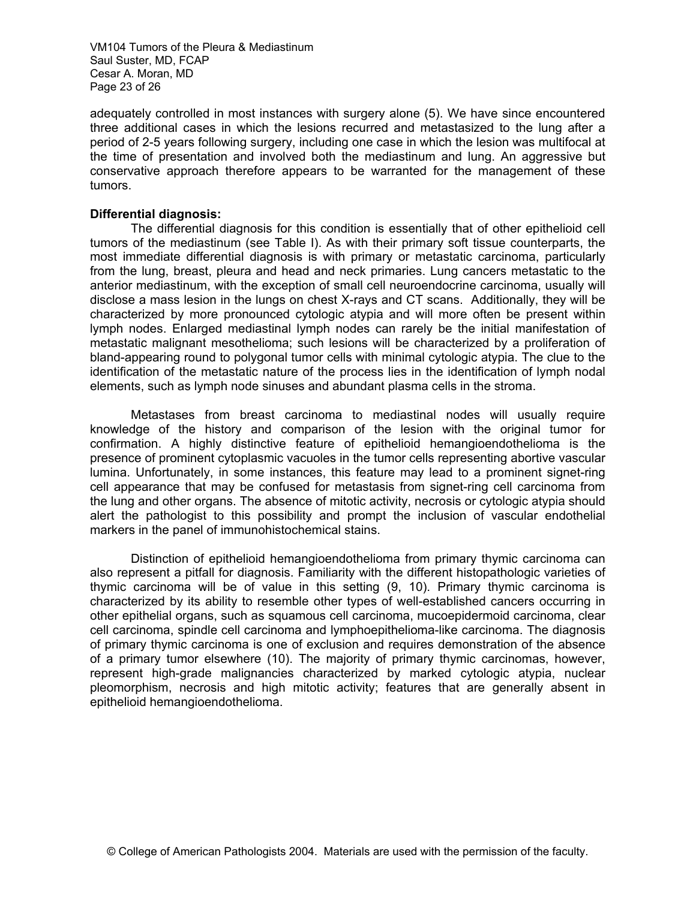VM104 Tumors of the Pleura & Mediastinum Saul Suster, MD, FCAP Cesar A. Moran, MD Page 23 of 26

adequately controlled in most instances with surgery alone (5). We have since encountered three additional cases in which the lesions recurred and metastasized to the lung after a period of 2-5 years following surgery, including one case in which the lesion was multifocal at the time of presentation and involved both the mediastinum and lung. An aggressive but conservative approach therefore appears to be warranted for the management of these tumors.

### **Differential diagnosis:**

 The differential diagnosis for this condition is essentially that of other epithelioid cell tumors of the mediastinum (see Table I). As with their primary soft tissue counterparts, the most immediate differential diagnosis is with primary or metastatic carcinoma, particularly from the lung, breast, pleura and head and neck primaries. Lung cancers metastatic to the anterior mediastinum, with the exception of small cell neuroendocrine carcinoma, usually will disclose a mass lesion in the lungs on chest X-rays and CT scans. Additionally, they will be characterized by more pronounced cytologic atypia and will more often be present within lymph nodes. Enlarged mediastinal lymph nodes can rarely be the initial manifestation of metastatic malignant mesothelioma; such lesions will be characterized by a proliferation of bland-appearing round to polygonal tumor cells with minimal cytologic atypia. The clue to the identification of the metastatic nature of the process lies in the identification of lymph nodal elements, such as lymph node sinuses and abundant plasma cells in the stroma.

Metastases from breast carcinoma to mediastinal nodes will usually require knowledge of the history and comparison of the lesion with the original tumor for confirmation. A highly distinctive feature of epithelioid hemangioendothelioma is the presence of prominent cytoplasmic vacuoles in the tumor cells representing abortive vascular lumina. Unfortunately, in some instances, this feature may lead to a prominent signet-ring cell appearance that may be confused for metastasis from signet-ring cell carcinoma from the lung and other organs. The absence of mitotic activity, necrosis or cytologic atypia should alert the pathologist to this possibility and prompt the inclusion of vascular endothelial markers in the panel of immunohistochemical stains.

 Distinction of epithelioid hemangioendothelioma from primary thymic carcinoma can also represent a pitfall for diagnosis. Familiarity with the different histopathologic varieties of thymic carcinoma will be of value in this setting (9, 10). Primary thymic carcinoma is characterized by its ability to resemble other types of well-established cancers occurring in other epithelial organs, such as squamous cell carcinoma, mucoepidermoid carcinoma, clear cell carcinoma, spindle cell carcinoma and lymphoepithelioma-like carcinoma. The diagnosis of primary thymic carcinoma is one of exclusion and requires demonstration of the absence of a primary tumor elsewhere (10). The majority of primary thymic carcinomas, however, represent high-grade malignancies characterized by marked cytologic atypia, nuclear pleomorphism, necrosis and high mitotic activity; features that are generally absent in epithelioid hemangioendothelioma.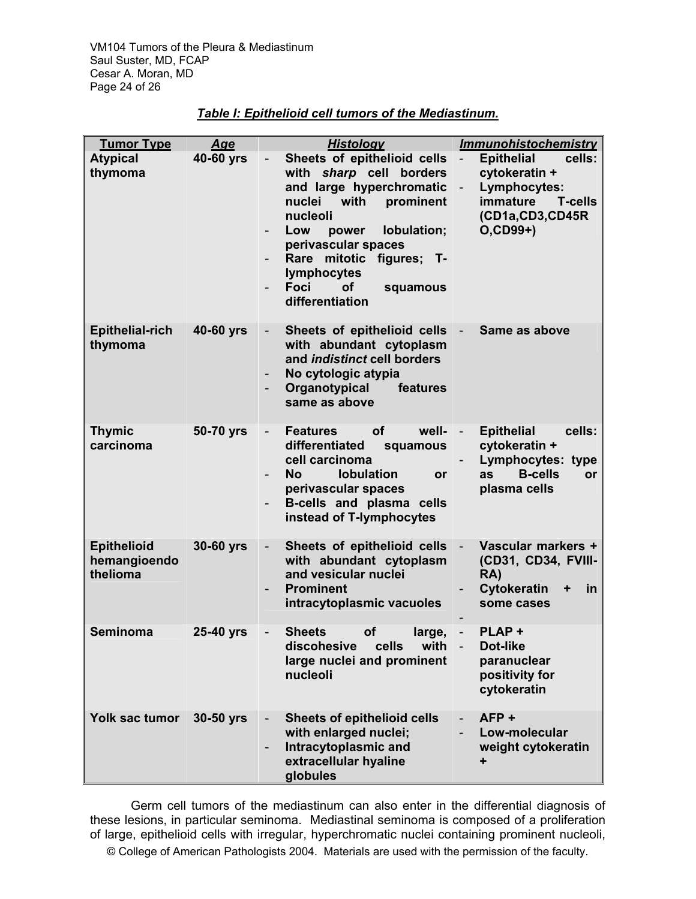| <b>Tumor Type</b>                              | <u>Age</u> | <b>Histology</b>                                                                                                                                                                                                                                                                | <b>Immunohistochemistry</b>                                                                                                                                                         |
|------------------------------------------------|------------|---------------------------------------------------------------------------------------------------------------------------------------------------------------------------------------------------------------------------------------------------------------------------------|-------------------------------------------------------------------------------------------------------------------------------------------------------------------------------------|
| <b>Atypical</b><br>thymoma                     | 40-60 yrs  | Sheets of epithelioid cells<br>with sharp cell borders<br>and large hyperchromatic<br>nuclei<br>with prominent<br>nucleoli<br>lobulation;<br>Low<br>power<br>perivascular spaces<br>Rare mitotic figures; T-<br>lymphocytes<br>Foci<br><b>of</b><br>squamous<br>differentiation | <b>Epithelial</b><br>cells:<br>$\overline{\phantom{a}}$<br>cytokeratin +<br>Lymphocytes:<br>$\overline{\phantom{0}}$<br>immature<br><b>T-cells</b><br>(CD1a,CD3,CD45R<br>$O(CD99+)$ |
| <b>Epithelial-rich</b><br>thymoma              | 40-60 yrs  | Sheets of epithelioid cells<br>$\overline{\phantom{0}}$<br>with abundant cytoplasm<br>and indistinct cell borders<br>No cytologic atypia<br>Organotypical<br>features<br>same as above                                                                                          | Same as above<br>$\overline{\phantom{a}}$                                                                                                                                           |
| <b>Thymic</b><br>carcinoma                     | 50-70 yrs  | <b>Features</b><br>οf<br>well-<br>differentiated<br>squamous<br>cell carcinoma<br><b>lobulation</b><br><b>No</b><br><b>or</b><br>perivascular spaces<br>B-cells and plasma cells<br>instead of T-lymphocytes                                                                    | <b>Epithelial</b><br>cells:<br>H,<br>cytokeratin +<br>Lymphocytes: type<br><b>B-cells</b><br>as<br>or<br>plasma cells                                                               |
| <b>Epithelioid</b><br>hemangioendo<br>thelioma | 30-60 yrs  | Sheets of epithelioid cells<br>with abundant cytoplasm<br>and vesicular nuclei<br><b>Prominent</b><br>intracytoplasmic vacuoles                                                                                                                                                 | $\overline{\phantom{a}}$<br>Vascular markers +<br>(CD31, CD34, FVIII-<br>RA)<br>Cytokeratin<br>in<br>some cases                                                                     |
| Seminoma                                       | 25-40 yrs  | <b>Sheets</b><br><b>of</b><br>large,<br>discohesive cells with<br>large nuclei and prominent<br>nucleoli                                                                                                                                                                        | PLAP+<br>$\overline{\phantom{a}}$<br><b>Dot-like</b><br>paranuclear<br>positivity for<br>cytokeratin                                                                                |
| Yolk sac tumor                                 | 30-50 yrs  | <b>Sheets of epithelioid cells</b><br>with enlarged nuclei;<br>Intracytoplasmic and<br>extracellular hyaline<br>globules                                                                                                                                                        | AFP+<br>Low-molecular<br>weight cytokeratin<br>÷                                                                                                                                    |

# *Table I: Epithelioid cell tumors of the Mediastinum.*

Germ cell tumors of the mediastinum can also enter in the differential diagnosis of these lesions, in particular seminoma. Mediastinal seminoma is composed of a proliferation of large, epithelioid cells with irregular, hyperchromatic nuclei containing prominent nucleoli,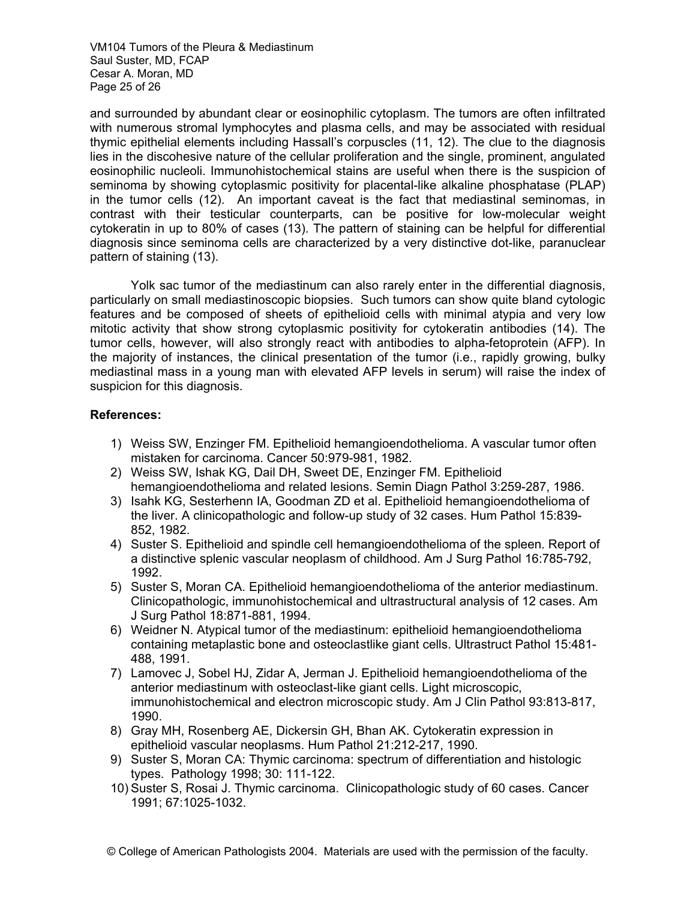VM104 Tumors of the Pleura & Mediastinum Saul Suster, MD, FCAP Cesar A. Moran, MD Page 25 of 26

and surrounded by abundant clear or eosinophilic cytoplasm. The tumors are often infiltrated with numerous stromal lymphocytes and plasma cells, and may be associated with residual thymic epithelial elements including Hassall's corpuscles (11, 12). The clue to the diagnosis lies in the discohesive nature of the cellular proliferation and the single, prominent, angulated eosinophilic nucleoli. Immunohistochemical stains are useful when there is the suspicion of seminoma by showing cytoplasmic positivity for placental-like alkaline phosphatase (PLAP) in the tumor cells (12). An important caveat is the fact that mediastinal seminomas, in contrast with their testicular counterparts, can be positive for low-molecular weight cytokeratin in up to 80% of cases (13). The pattern of staining can be helpful for differential diagnosis since seminoma cells are characterized by a very distinctive dot-like, paranuclear pattern of staining (13).

Yolk sac tumor of the mediastinum can also rarely enter in the differential diagnosis, particularly on small mediastinoscopic biopsies. Such tumors can show quite bland cytologic features and be composed of sheets of epithelioid cells with minimal atypia and very low mitotic activity that show strong cytoplasmic positivity for cytokeratin antibodies (14). The tumor cells, however, will also strongly react with antibodies to alpha-fetoprotein (AFP). In the majority of instances, the clinical presentation of the tumor (i.e., rapidly growing, bulky mediastinal mass in a young man with elevated AFP levels in serum) will raise the index of suspicion for this diagnosis.

# **References:**

- 1) Weiss SW, Enzinger FM. Epithelioid hemangioendothelioma. A vascular tumor often mistaken for carcinoma. Cancer 50:979-981, 1982.
- 2) Weiss SW, Ishak KG, Dail DH, Sweet DE, Enzinger FM. Epithelioid hemangioendothelioma and related lesions. Semin Diagn Pathol 3:259-287, 1986.
- 3) Isahk KG, Sesterhenn IA, Goodman ZD et al. Epithelioid hemangioendothelioma of the liver. A clinicopathologic and follow-up study of 32 cases. Hum Pathol 15:839- 852, 1982.
- 4) Suster S. Epithelioid and spindle cell hemangioendothelioma of the spleen. Report of a distinctive splenic vascular neoplasm of childhood. Am J Surg Pathol 16:785-792, 1992.
- 5) Suster S, Moran CA. Epithelioid hemangioendothelioma of the anterior mediastinum. Clinicopathologic, immunohistochemical and ultrastructural analysis of 12 cases. Am J Surg Pathol 18:871-881, 1994.
- 6) Weidner N. Atypical tumor of the mediastinum: epithelioid hemangioendothelioma containing metaplastic bone and osteoclastlike giant cells. Ultrastruct Pathol 15:481- 488, 1991.
- 7) Lamovec J, Sobel HJ, Zidar A, Jerman J. Epithelioid hemangioendothelioma of the anterior mediastinum with osteoclast-like giant cells. Light microscopic, immunohistochemical and electron microscopic study. Am J Clin Pathol 93:813-817, 1990.
- 8) Gray MH, Rosenberg AE, Dickersin GH, Bhan AK. Cytokeratin expression in epithelioid vascular neoplasms. Hum Pathol 21:212-217, 1990.
- 9) Suster S, Moran CA: Thymic carcinoma: spectrum of differentiation and histologic types. Pathology 1998; 30: 111-122.
- 10) Suster S, Rosai J. Thymic carcinoma. Clinicopathologic study of 60 cases. Cancer 1991; 67:1025-1032.